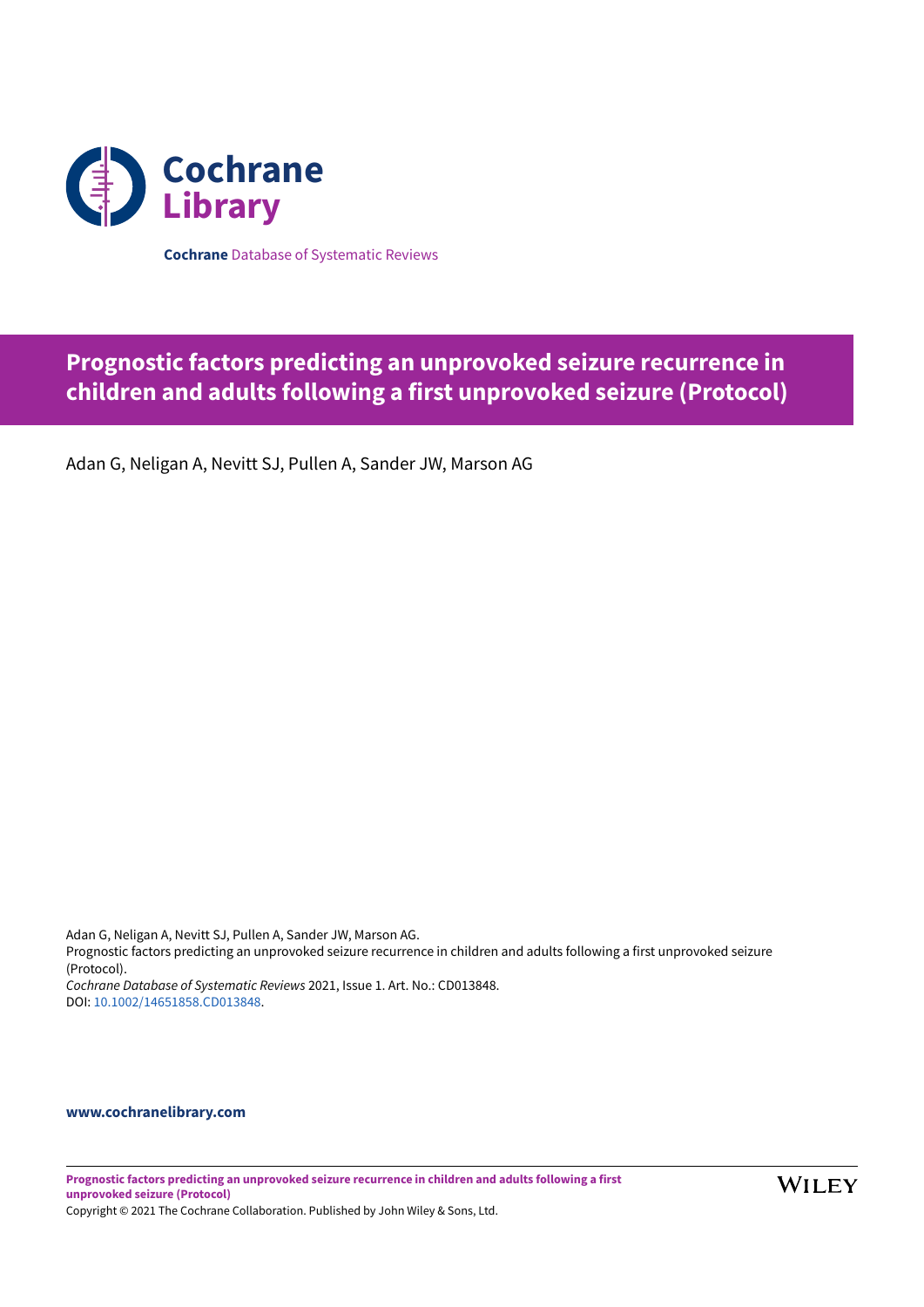

**Cochrane** Database of Systematic Reviews

# **Prognostic factors predicting an unprovoked seizure recurrence in children and adults following a first unprovoked seizure (Protocol)**

Adan G, Neligan A, Nevitt SJ, Pullen A, Sander JW, Marson AG

Adan G, Neligan A, Nevitt SJ, Pullen A, Sander JW, Marson AG. Prognostic factors predicting an unprovoked seizure recurrence in children and adults following a first unprovoked seizure (Protocol). *Cochrane Database of Systematic Reviews* 2021, Issue 1. Art. No.: CD013848. DOI: [10.1002/14651858.CD013848](https://doi.org/10.1002%2F14651858.CD013848).

## **[www.cochranelibrary.com](https://www.cochranelibrary.com)**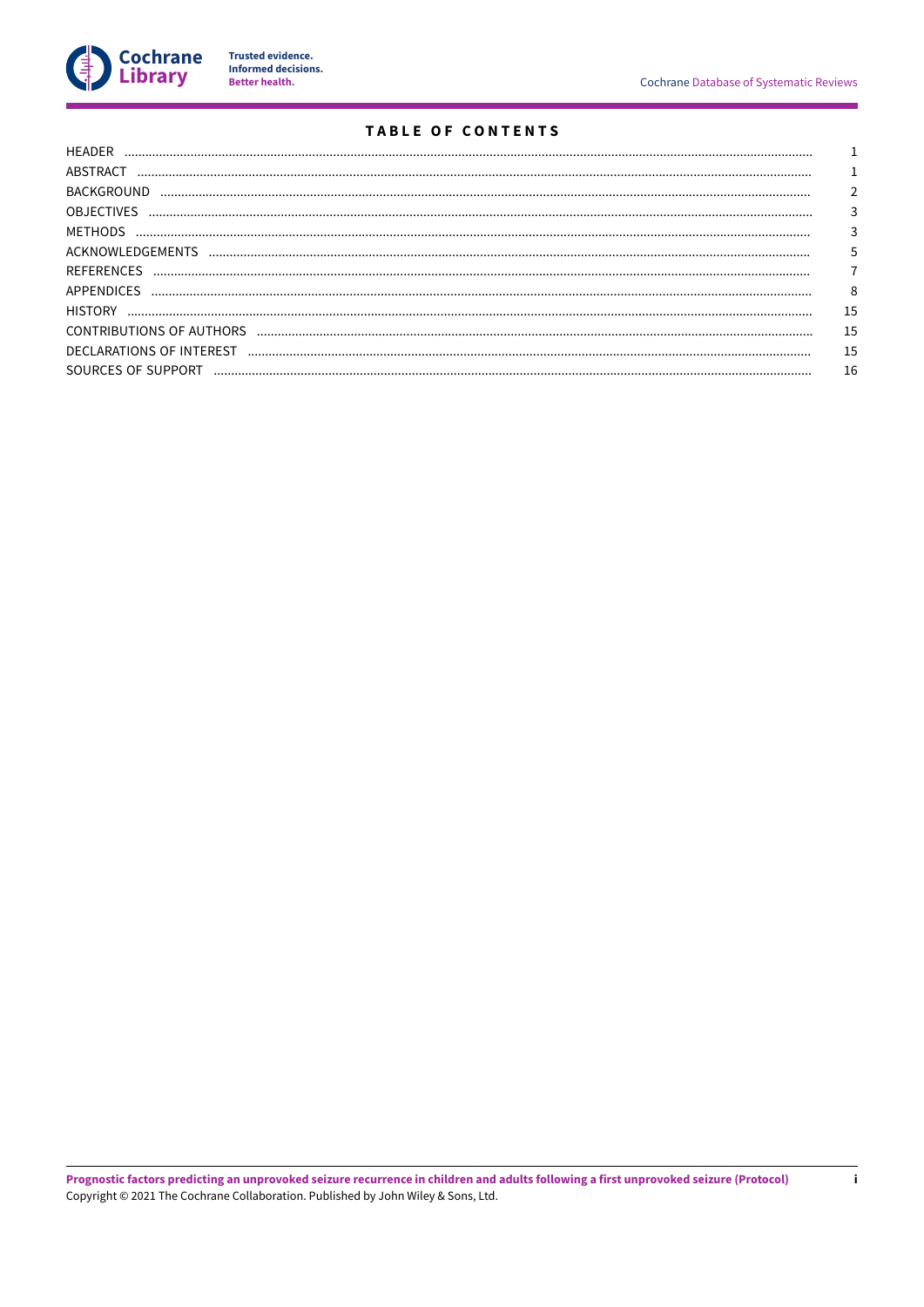

Trusted evidence.<br>Informed decisions.<br>Better health.

# **TABLE OF CONTENTS**

| ABSTRACT           |    |
|--------------------|----|
| <b>BACKGROUND</b>  |    |
| <b>OBJECTIVES</b>  |    |
|                    |    |
|                    | 5  |
| REFERENCES         |    |
| <b>APPENDICES</b>  | 8  |
| <b>HISTORY</b>     | 15 |
|                    | 15 |
|                    | 15 |
| SOURCES OF SUPPORT | 16 |
|                    |    |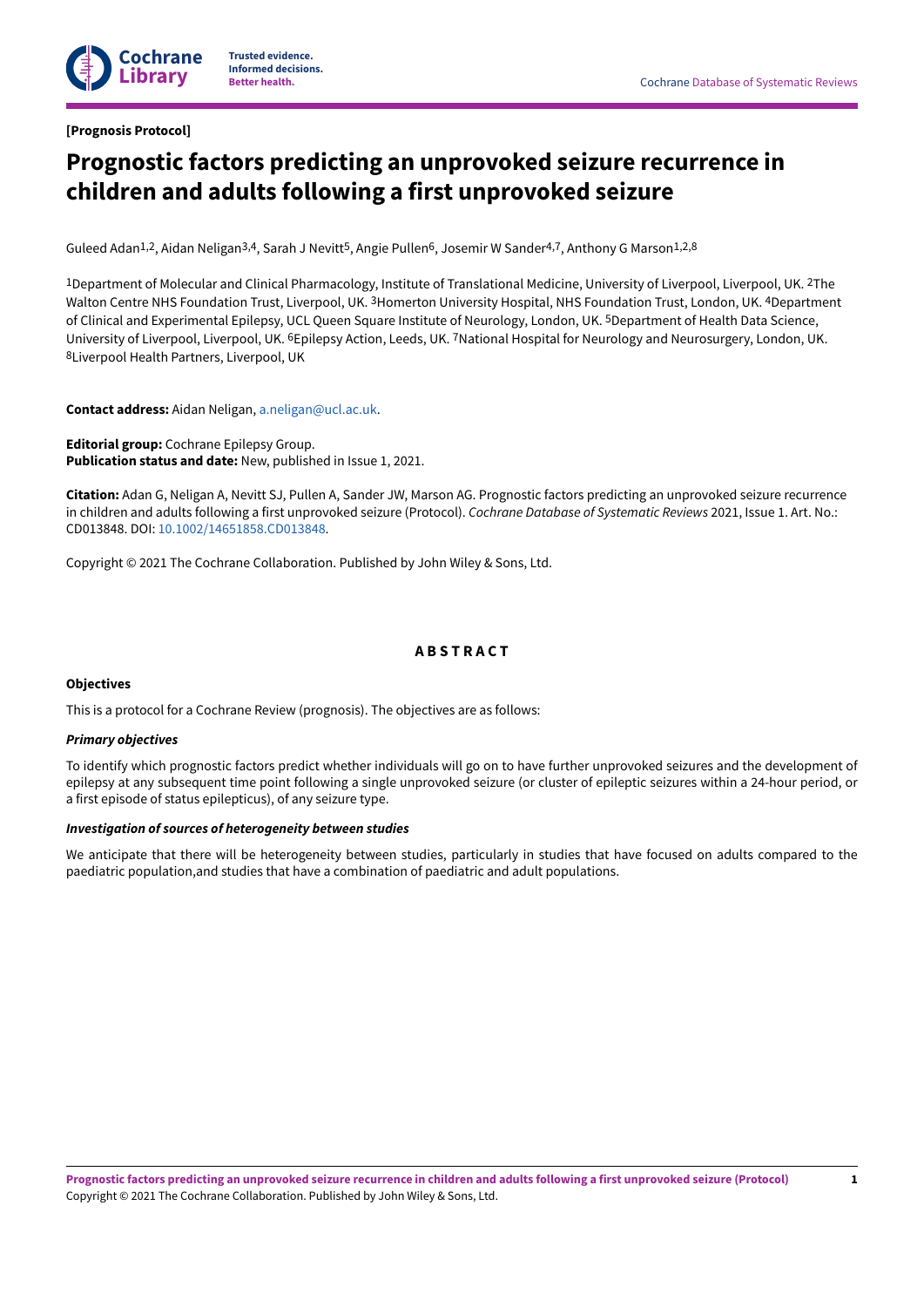

### <span id="page-2-0"></span>**[Prognosis Protocol]**

# **Prognostic factors predicting an unprovoked seizure recurrence in children and adults following a first unprovoked seizure**

Guleed Adan<sup>1,2</sup>, Aidan Neligan<sup>3,4</sup>, Sarah J Nevitt<sup>5</sup>, Angie Pullen<sup>6</sup>, Josemir W Sander<sup>4,7</sup>, Anthony G Marson<sup>1,2,8</sup>

1Department of Molecular and Clinical Pharmacology, Institute of Translational Medicine, University of Liverpool, Liverpool, UK. 2The Walton Centre NHS Foundation Trust, Liverpool, UK. <sup>3</sup>Homerton University Hospital, NHS Foundation Trust, London, UK. <sup>4</sup>Department of Clinical and Experimental Epilepsy, UCL Queen Square Institute of Neurology, London, UK. 5Department of Health Data Science, University of Liverpool, Liverpool, UK. <sup>6</sup>Epilepsy Action, Leeds, UK. <sup>7</sup>National Hospital for Neurology and Neurosurgery, London, UK. 8Liverpool Health Partners, Liverpool, UK

**Contact address:** Aidan Neligan, [a.neligan@ucl.ac.uk.](mailto:a.neligan@ucl.ac.uk)

**Editorial group:** Cochrane Epilepsy Group. **Publication status and date:** New, published in Issue 1, 2021.

**Citation:** Adan G, Neligan A, Nevitt SJ, Pullen A, Sander JW, Marson AG. Prognostic factors predicting an unprovoked seizure recurrence in children and adults following a first unprovoked seizure (Protocol). *Cochrane Database of Systematic Reviews* 2021, Issue 1. Art. No.: CD013848. DOI: [10.1002/14651858.CD013848.](https://doi.org/10.1002%2F14651858.CD013848)

Copyright © 2021 The Cochrane Collaboration. Published by John Wiley & Sons, Ltd.

# **A B S T R A C T**

#### <span id="page-2-1"></span>**Objectives**

This is a protocol for a Cochrane Review (prognosis). The objectives are as follows:

#### *Primary objectives*

To identify which prognostic factors predict whether individuals will go on to have further unprovoked seizures and the development of epilepsy at any subsequent time point following a single unprovoked seizure (or cluster of epileptic seizures within a 24-hour period, or a first episode of status epilepticus), of any seizure type.

## *Investigation of sources of heterogeneity between studies*

We anticipate that there will be heterogeneity between studies, particularly in studies that have focused on adults compared to the paediatric population,and studies that have a combination of paediatric and adult populations.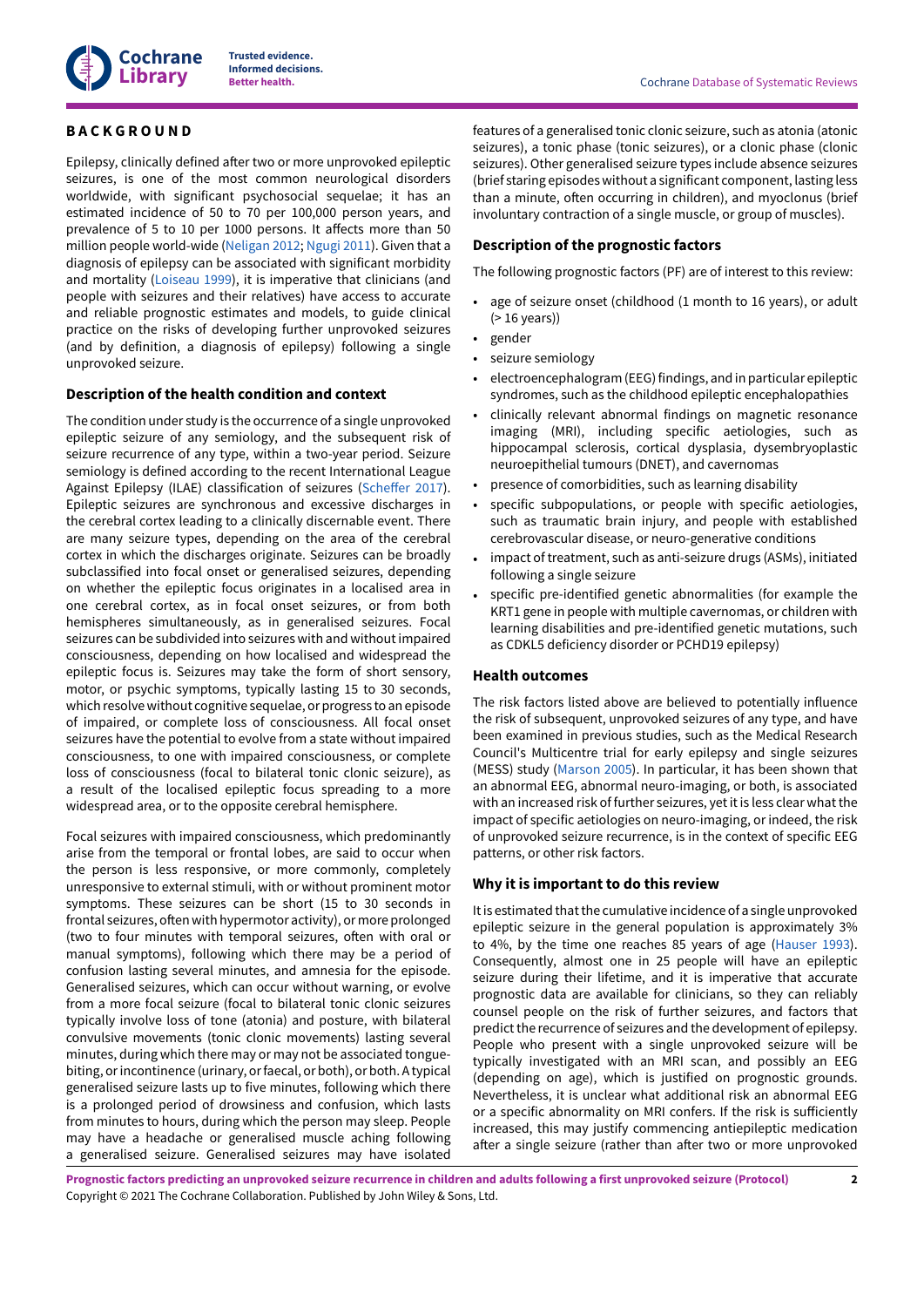

## <span id="page-3-0"></span>**B A C K G R O U N D**

Epilepsy, clinically defined after two or more unprovoked epileptic seizures, is one of the most common neurological disorders worldwide, with significant psychosocial sequelae; it has an estimated incidence of 50 to 70 per 100,000 person years, and prevalence of 5 to 10 per 1000 persons. It affects more than 50 million people world-wide [\(Neligan](#page-8-1) 2012; [Ngugi 2011](#page-8-2)). Given that a diagnosis of epilepsy can be associated with significant morbidity and mortality ([Loiseau](#page-8-3) 1999), it is imperative that clinicians (and people with seizures and their relatives) have access to accurate and reliable prognostic estimates and models, to guide clinical practice on the risks of developing further unprovoked seizures (and by definition, a diagnosis of epilepsy) following a single unprovoked seizure.

## **Description of the health condition and context**

The condition under study is the occurrence of a single unprovoked epileptic seizure of any semiology, and the subsequent risk of seizure recurrence of any type, within a two-year period. Seizure semiology is defined according to the recent International League Against Epilepsy (ILAE) classification of seizures (Scheffer 2017). Epileptic seizures are synchronous and excessive discharges in the cerebral cortex leading to a clinically discernable event. There are many seizure types, depending on the area of the cerebral cortex in which the discharges originate. Seizures can be broadly subclassified into focal onset or generalised seizures, depending on whether the epileptic focus originates in a localised area in one cerebral cortex, as in focal onset seizures, or from both hemispheres simultaneously, as in generalised seizures. Focal seizures can be subdivided into seizures with and withoutimpaired consciousness, depending on how localised and widespread the epileptic focus is. Seizures may take the form of short sensory, motor, or psychic symptoms, typically lasting 15 to 30 seconds, which resolve without cognitive sequelae, or progress to an episode of impaired, or complete loss of consciousness. All focal onset seizures have the potential to evolve from a state without impaired consciousness, to one with impaired consciousness, or complete loss of consciousness (focal to bilateral tonic clonic seizure), as a result of the localised epileptic focus spreading to a more widespread area, or to the opposite cerebral hemisphere.

Focal seizures with impaired consciousness, which predominantly arise from the temporal or frontal lobes, are said to occur when the person is less responsive, or more commonly, completely unresponsive to external stimuli, with or without prominent motor symptoms. These seizures can be short (15 to 30 seconds in frontal seizures, often with hypermotor activity), or more prolonged (two to four minutes with temporal seizures, often with oral or manual symptoms), following which there may be a period of confusion lasting several minutes, and amnesia for the episode. Generalised seizures, which can occur without warning, or evolve from a more focal seizure (focal to bilateral tonic clonic seizures typically involve loss of tone (atonia) and posture, with bilateral convulsive movements (tonic clonic movements) lasting several minutes, during which there may or may not be associated tonguebiting, orincontinence (urinary, orfaecal, or both), or both. A typical generalised seizure lasts up to five minutes, following which there is a prolonged period of drowsiness and confusion, which lasts from minutes to hours, during which the person may sleep. People may have a headache or generalised muscle aching following a generalised seizure. Generalised seizures may have isolated

features of a generalised tonic clonic seizure, such as atonia (atonic seizures), a tonic phase (tonic seizures), or a clonic phase (clonic seizures). Other generalised seizure types include absence seizures (brief staring episodes without a significant component, lasting less than a minute, often occurring in children), and myoclonus (brief involuntary contraction of a single muscle, or group of muscles).

## **Description of the prognostic factors**

The following prognostic factors (PF) are of interest to this review:

- age of seizure onset (childhood (1 month to 16 years), or adult (> 16 years))
- gender
- seizure semiology
- electroencephalogram (EEG) findings, and in particular epileptic syndromes, such as the childhood epileptic encephalopathies
- clinically relevant abnormal findings on magnetic resonance imaging (MRI), including specific aetiologies, such as hippocampal sclerosis, cortical dysplasia, dysembryoplastic neuroepithelial tumours (DNET), and cavernomas
- presence of comorbidities, such as learning disability
- specific subpopulations, or people with specific aetiologies, such as traumatic brain injury, and people with established cerebrovascular disease, or neuro-generative conditions
- impact of treatment, such as anti-seizure drugs (ASMs), initiated following a single seizure
- specific pre-identified genetic abnormalities (for example the KRT1 gene in people with multiple cavernomas, or children with learning disabilities and pre-identified genetic mutations, such as CDKL5 deficiency disorder or PCHD19 epilepsy)

#### **Health outcomes**

The risk factors listed above are believed to potentially influence the risk of subsequent, unprovoked seizures of any type, and have been examined in previous studies, such as the Medical Research Council's Multicentre trial for early epilepsy and single seizures (MESS) study [\(Marson](#page-8-4) 2005). In particular, it has been shown that an abnormal EEG, abnormal neuro-imaging, or both, is associated with an increased risk of further seizures, yet it is less clear what the impact of specific aetiologies on neuro-imaging, or indeed, the risk of unprovoked seizure recurrence, is in the context of specific EEG patterns, or other risk factors.

#### **Why it is important to do this review**

Itis estimated thatthe cumulative incidence of a single unprovoked epileptic seizure in the general population is approximately 3% to 4%, by the time one reaches 85 years of age ([Hauser 1993\)](#page-8-5). Consequently, almost one in 25 people will have an epileptic seizure during their lifetime, and it is imperative that accurate prognostic data are available for clinicians, so they can reliably counsel people on the risk of further seizures, and factors that predict the recurrence of seizures and the development of epilepsy. People who present with a single unprovoked seizure will be typically investigated with an MRI scan, and possibly an EEG (depending on age), which is justified on prognostic grounds. Nevertheless, it is unclear what additional risk an abnormal EEG or a specific abnormality on MRI confers. If the risk is sufficiently increased, this may justify commencing antiepileptic medication after a single seizure (rather than after two or more unprovoked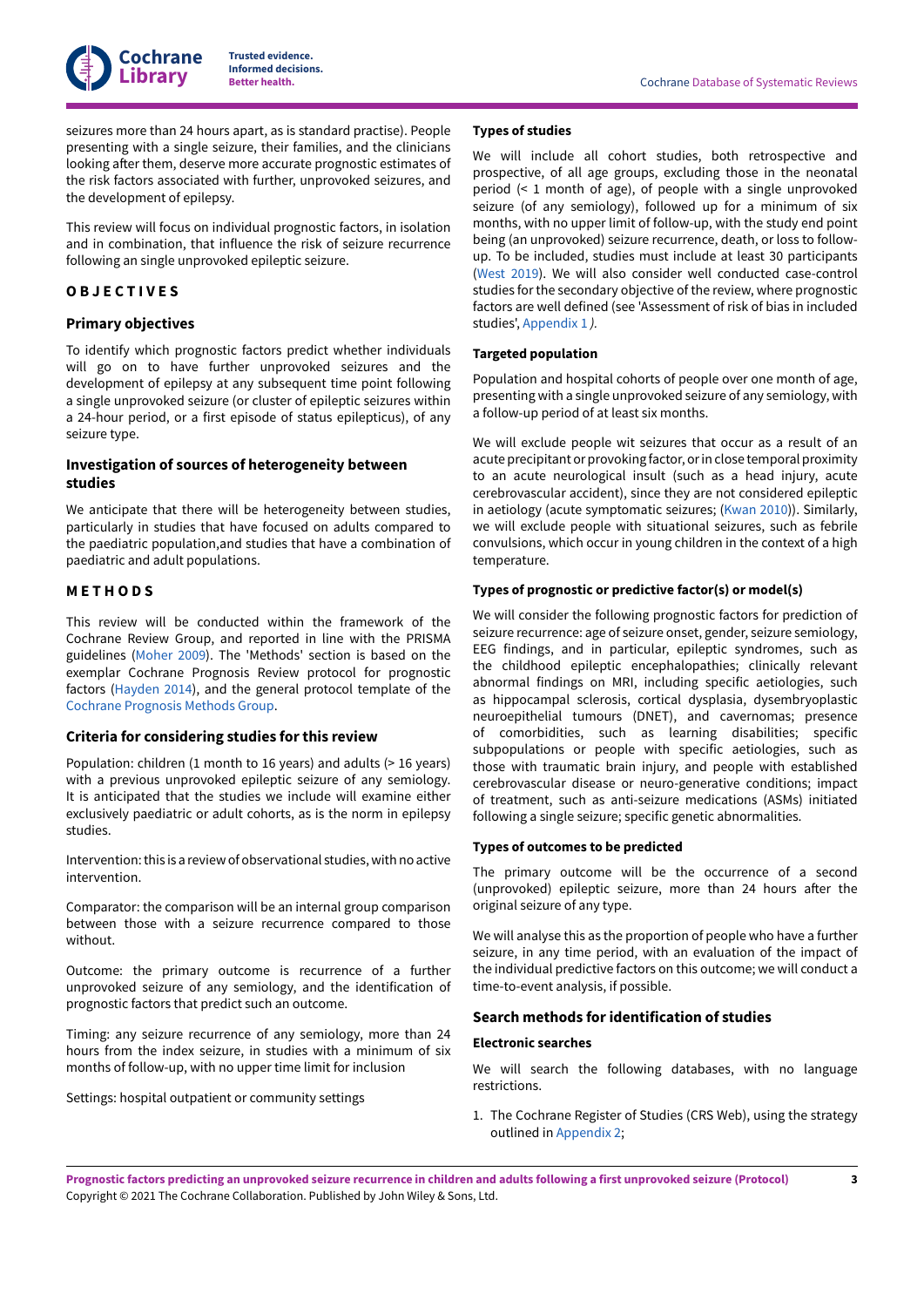

seizures more than 24 hours apart, as is standard practise). People presenting with a single seizure, their families, and the clinicians looking after them, deserve more accurate prognostic estimates of the risk factors associated with further, unprovoked seizures, and the development of epilepsy.

This review will focus on individual prognostic factors, in isolation and in combination, that influence the risk of seizure recurrence following an single unprovoked epileptic seizure.

## <span id="page-4-0"></span>**O B J E C T I V E S**

#### **Primary objectives**

To identify which prognostic factors predict whether individuals will go on to have further unprovoked seizures and the development of epilepsy at any subsequent time point following a single unprovoked seizure (or cluster of epileptic seizures within a 24-hour period, or a first episode of status epilepticus), of any seizure type.

## **Investigation of sources of heterogeneity between studies**

We anticipate that there will be heterogeneity between studies, particularly in studies that have focused on adults compared to the paediatric population,and studies that have a combination of paediatric and adult populations.

#### <span id="page-4-1"></span>**M E T H O D S**

This review will be conducted within the framework of the Cochrane Review Group, and reported in line with the PRISMA guidelines [\(Moher 2009\)](#page-8-6). The 'Methods' section is based on the exemplar Cochrane Prognosis Review protocol for prognostic factors ([Hayden](#page-8-7) 2014), and the general protocol template of the Cochrane [Prognosis](https://methods.cochrane.org/prognosis/tools) Methods Group.

#### **Criteria for considering studies for this review**

Population: children (1 month to 16 years) and adults (> 16 years) with a previous unprovoked epileptic seizure of any semiology. It is anticipated that the studies we include will examine either exclusively paediatric or adult cohorts, as is the norm in epilepsy studies.

Intervention: this is a review of observational studies, with no active intervention.

Comparator: the comparison will be an internal group comparison between those with a seizure recurrence compared to those without.

Outcome: the primary outcome is recurrence of a further unprovoked seizure of any semiology, and the identification of prognostic factors that predict such an outcome.

Timing: any seizure recurrence of any semiology, more than 24 hours from the index seizure, in studies with a minimum of six months of follow-up, with no upper time limit for inclusion

Settings: hospital outpatient or community settings

## **Types of studies**

We will include all cohort studies, both retrospective and prospective, of all age groups, excluding those in the neonatal period (< 1 month of age), of people with a single unprovoked seizure (of any semiology), followed up for a minimum of six months, with no upper limit of follow-up, with the study end point being (an unprovoked) seizure recurrence, death, or loss to followup. To be included, studies must include at least 30 participants [\(West](#page-9-2) 2019). We will also consider well conducted case-control studies for the secondary objective of the review, where prognostic factors are well defined (see 'Assessment of risk of bias in included studies', [Appendix 1](#page-9-3) *).*

#### **Targeted population**

Population and hospital cohorts of people over one month of age, presenting with a single unprovoked seizure of any semiology, with a follow-up period of at least six months.

We will exclude people wit seizures that occur as a result of an acute precipitant or provoking factor, or in close temporal proximity to an acute neurological insult (such as a head injury, acute cerebrovascular accident), since they are not considered epileptic in aetiology (acute symptomatic seizures; ([Kwan](#page-8-8) 2010)). Similarly, we will exclude people with situational seizures, such as febrile convulsions, which occur in young children in the context of a high temperature.

#### **Types of prognostic or predictive factor(s) or model(s)**

We will consider the following prognostic factors for prediction of seizure recurrence: age of seizure onset, gender, seizure semiology, EEG findings, and in particular, epileptic syndromes, such as the childhood epileptic encephalopathies; clinically relevant abnormal findings on MRI, including specific aetiologies, such as hippocampal sclerosis, cortical dysplasia, dysembryoplastic neuroepithelial tumours (DNET), and cavernomas; presence of comorbidities, such as learning disabilities; specific subpopulations or people with specific aetiologies, such as those with traumatic brain injury, and people with established cerebrovascular disease or neuro-generative conditions; impact of treatment, such as anti-seizure medications (ASMs) initiated following a single seizure; specific genetic abnormalities.

#### **Types of outcomes to be predicted**

The primary outcome will be the occurrence of a second (unprovoked) epileptic seizure, more than 24 hours after the original seizure of any type.

We will analyse this as the proportion of people who have a further seizure, in any time period, with an evaluation of the impact of the individual predictive factors on this outcome; we will conduct a time-to-event analysis, if possible.

## **Search methods for identification of studies**

#### **Electronic searches**

We will search the following databases, with no language restrictions.

1. The Cochrane Register of Studies (CRS Web), using the strategy outlined in [Appendix 2](#page-12-0);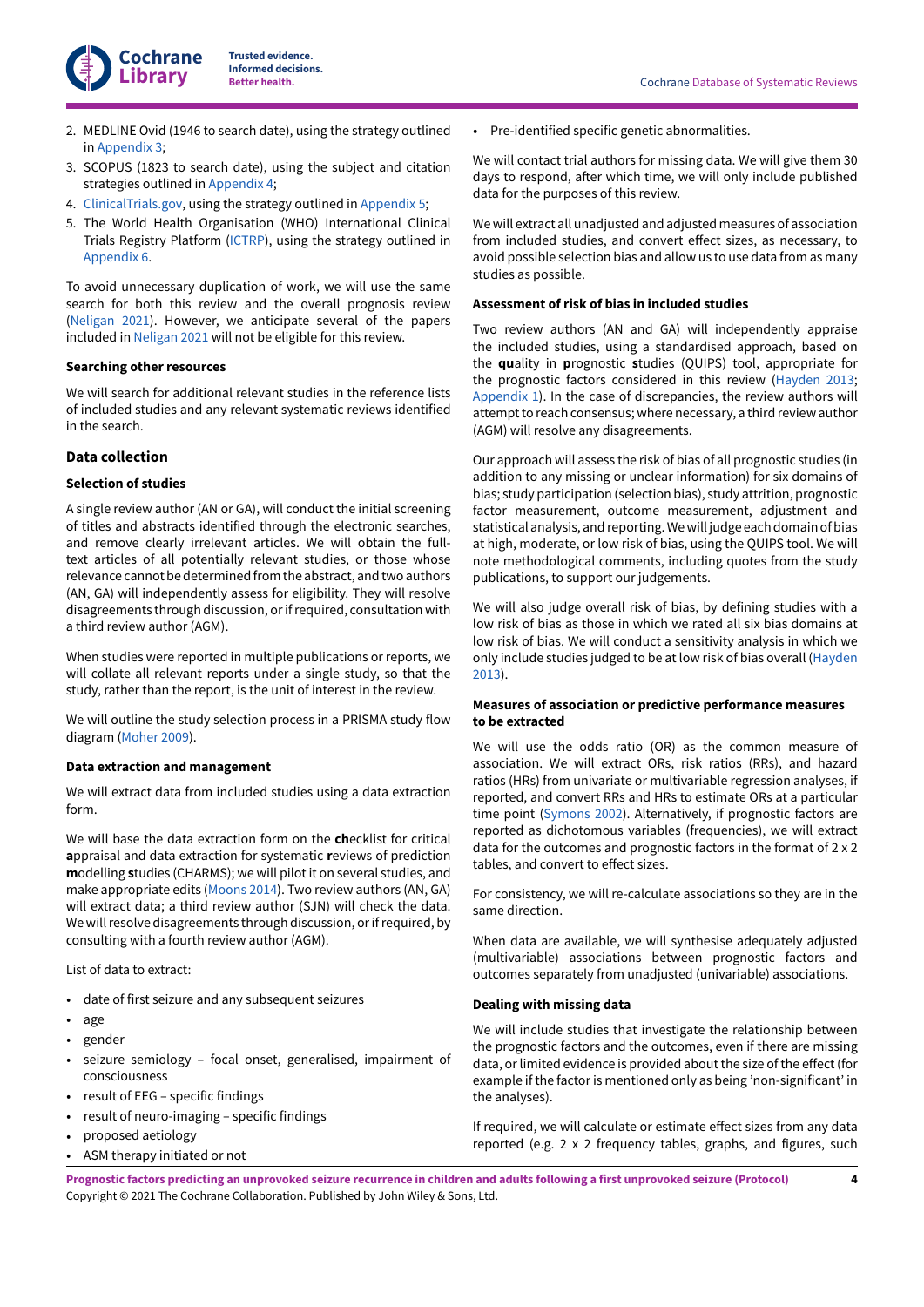

- 2. MEDLINE Ovid (1946 to search date), using the strategy outlined in [Appendix 3;](#page-14-0)
- 3. SCOPUS (1823 to search date), using the subject and citation strategies outlined in [Appendix 4](#page-15-0);
- 4. [ClinicalTrials.gov,](https://clinicaltrials.gov/) using the strategy outlined in [Appendix 5](#page-16-3);
- 5. The World Health Organisation (WHO) International Clinical Trials Registry Platform [\(ICTRP\)](http://apps.who.int/trialsearch/), using the strategy outlined in [Appendix 6.](#page-16-4)

To avoid unnecessary duplication of work, we will use the same search for both this review and the overall prognosis review [\(Neligan](#page-8-9) 2021). However, we anticipate several of the papers included in [Neligan](#page-8-9) 2021 will not be eligible for this review.

### **Searching other resources**

We will search for additional relevant studies in the reference lists of included studies and any relevant systematic reviews identified in the search.

### **Data collection**

### **Selection of studies**

A single review author (AN or GA), will conduct the initial screening of titles and abstracts identified through the electronic searches, and remove clearly irrelevant articles. We will obtain the fulltext articles of all potentially relevant studies, or those whose relevance cannot be determined from the abstract, and two authors (AN, GA) will independently assess for eligibility. They will resolve disagreements through discussion, or if required, consultation with a third review author (AGM).

When studies were reported in multiple publications or reports, we will collate all relevant reports under a single study, so that the study, rather than the report, is the unit of interest in the review.

We will outline the study selection process in a PRISMA study flow diagram [\(Moher 2009\)](#page-8-6).

#### **Data extraction and management**

We will extract data from included studies using a data extraction form.

We will base the data extraction form on the **ch**ecklist for critical **a**ppraisal and data extraction for systematic **r**eviews of prediction **m**odelling **s**tudies (CHARMS); we will pilot it on several studies, and make appropriate edits [\(Moons 2014\)](#page-8-10). Two review authors (AN, GA) will extract data; a third review author (SJN) will check the data. We will resolve disagreements through discussion, or if required, by consulting with a fourth review author (AGM).

List of data to extract:

- date of first seizure and any subsequent seizures
- age
- gender
- seizure semiology focal onset, generalised, impairment of consciousness
- result of EEG specific findings
- result of neuro-imaging specific findings
- proposed aetiology
- ASM therapy initiated or not

• Pre-identified specific genetic abnormalities.

We will contact trial authors for missing data. We will give them 30 days to respond, after which time, we will only include published data for the purposes of this review.

We will extract all unadjusted and adjusted measures of association from included studies, and convert effect sizes, as necessary, to avoid possible selection bias and allow us to use data from as many studies as possible.

#### **Assessment of risk of bias in included studies**

Two review authors (AN and GA) will independently appraise the included studies, using a standardised approach, based on the **qu**ality in **p**rognostic **s**tudies (QUIPS) tool, appropriate for the prognostic factors considered in this review ([Hayden](https://www.cochranelibrary.com/cdsr/doi/10.1002/14651858.CD011284/references#CD011284-bbs2-0023) 2013; [Appendix 1](#page-9-3)). In the case of discrepancies, the review authors will attempt to reach consensus; where necessary, a third review author (AGM) will resolve any disagreements.

Our approach will assess the risk of bias of all prognostic studies (in addition to any missing or unclear information) for six domains of bias; study participation (selection bias), study attrition, prognostic factor measurement, outcome measurement, adjustment and statistical analysis, and reporting. We will judge each domain of bias at high, moderate, or low risk of bias, using the QUIPS tool. We will note methodological comments, including quotes from the study publications, to support our judgements.

We will also judge overall risk of bias, by defining studies with a low risk of bias as those in which we rated all six bias domains at low risk of bias. We will conduct a sensitivity analysis in which we only include studies judged to be at low risk of bias overall ([Hayden](#page-8-11) [2013\)](#page-8-11).

### **Measures of association or predictive performance measures to be extracted**

We will use the odds ratio (OR) as the common measure of association. We will extract ORs, risk ratios (RRs), and hazard ratios (HRs) from univariate or multivariable regression analyses, if reported, and convert RRs and HRs to estimate ORs at a particular time point [\(Symons 2002](#page-9-4)). Alternatively, if prognostic factors are reported as dichotomous variables (frequencies), we will extract data for the outcomes and prognostic factors in the format of 2 x 2 tables, and convert to effect sizes.

For consistency, we will re-calculate associations so they are in the same direction.

When data are available, we will synthesise adequately adjusted (multivariable) associations between prognostic factors and outcomes separately from unadjusted (univariable) associations.

## **Dealing with missing data**

We will include studies that investigate the relationship between the prognostic factors and the outcomes, even if there are missing data, or limited evidence is provided about the size of the effect (for example if the factor is mentioned only as being 'non-significant' in the analyses).

If required, we will calculate or estimate effect sizes from any data reported (e.g. 2 x 2 frequency tables, graphs, and figures, such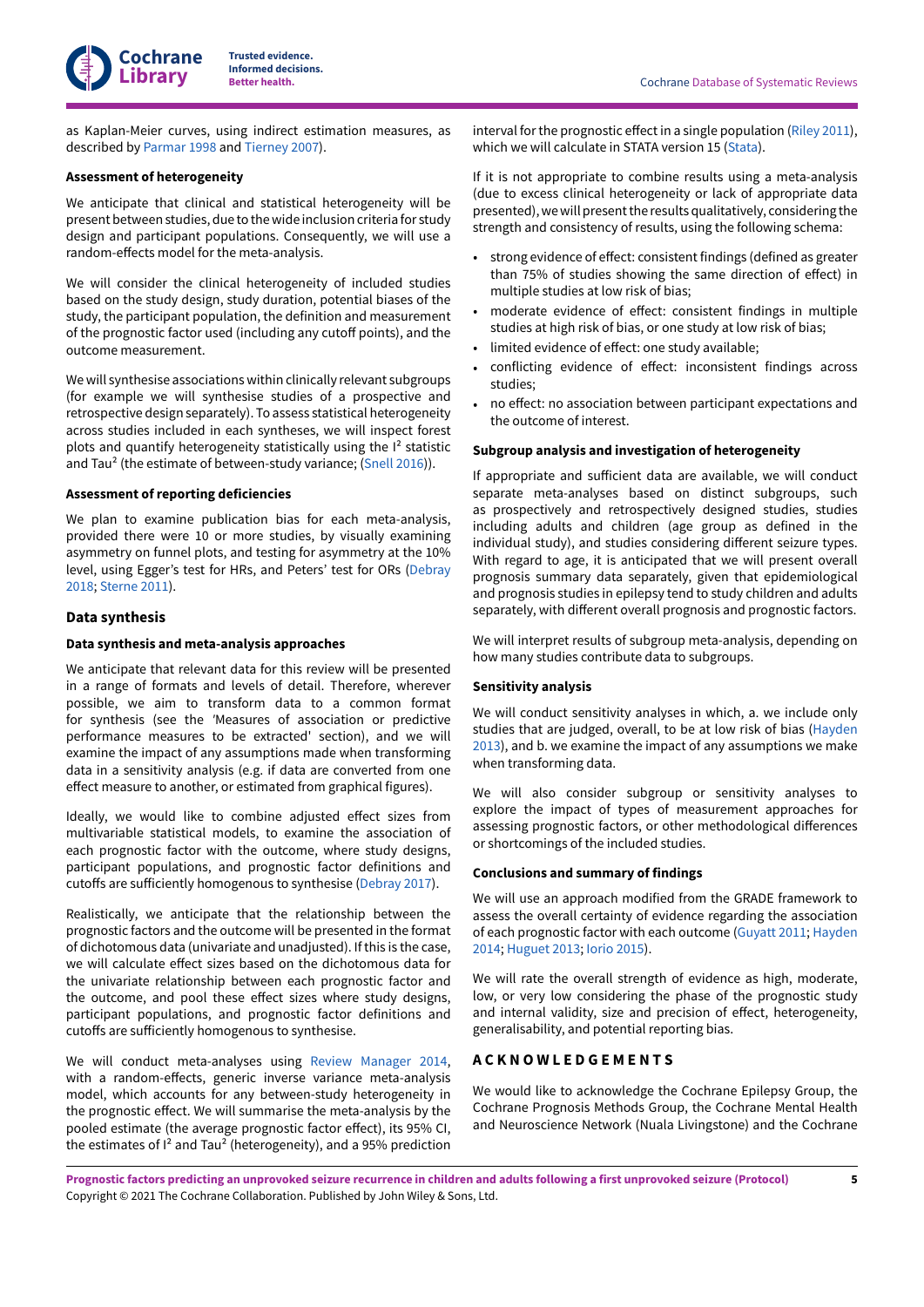

as Kaplan-Meier curves, using indirect estimation measures, as described by [Parmar](#page-9-5) 1998 and [Tierney](#page-9-6) 2007).

#### **Assessment of heterogeneity**

We anticipate that clinical and statistical heterogeneity will be present between studies, due to thewide inclusion criteria for study design and participant populations. Consequently, we will use a random-effects model for the meta-analysis.

We will consider the clinical heterogeneity of included studies based on the study design, study duration, potential biases of the study, the participant population, the definition and measurement of the prognostic factor used (including any cutoff points), and the outcome measurement.

We will synthesise associations within clinically relevant subgroups (for example we will synthesise studies of a prospective and retrospective design separately). To assess statistical heterogeneity across studies included in each syntheses, we will inspect forest plots and quantify heterogeneity statistically using the  $I<sup>2</sup>$  statistic and Tau<sup>2</sup> (the estimate of between-study variance; ([Snell 2016](#page-9-7))).

#### **Assessment of reporting deficiencies**

We plan to examine publication bias for each meta-analysis, provided there were 10 or more studies, by visually examining asymmetry on funnel plots, and testing for asymmetry at the 10% level, using Egger's test for HRs, and Peters' test for ORs ([Debray](#page-8-12) [2018](#page-8-12); [Sterne](#page-9-8) 2011).

#### **Data synthesis**

#### **Data synthesis and meta-analysis approaches**

We anticipate that relevant data for this review will be presented in a range of formats and levels of detail. Therefore, wherever possible, we aim to transform data to a common format for synthesis (see the *'*Measures of association or predictive performance measures to be extracted' section), and we will examine the impact of any assumptions made when transforming data in a sensitivity analysis (e.g. if data are converted from one effect measure to another, or estimated from graphical figures).

Ideally, we would like to combine adjusted effect sizes from multivariable statistical models, to examine the association of each prognostic factor with the outcome, where study designs, participant populations, and prognostic factor definitions and cutoffs are sufficiently homogenous to synthesise ([Debray](#page-8-13) 2017).

Realistically, we anticipate that the relationship between the prognostic factors and the outcome will be presented in the format of dichotomous data (univariate and unadjusted). Ifthis is the case, we will calculate effect sizes based on the dichotomous data for the univariate relationship between each prognostic factor and the outcome, and pool these effect sizes where study designs, participant populations, and prognostic factor definitions and cutoffs are sufficiently homogenous to synthesise.

We will conduct meta-analyses using Review [Manager](#page-9-9) 2014, with a random-effects, generic inverse variance meta-analysis model, which accounts for any between-study heterogeneity in the prognostic effect. We will summarise the meta-analysis by the pooled estimate (the average prognostic factor effect), its 95% CI, the estimates of  $I^2$  and Tau<sup>2</sup> (heterogeneity), and a 95% prediction

interval for the prognostic effect in a single population ([Riley](#page-9-10) 2011), which we will calculate in STATA version 15 [\(Stata](#page-9-11)).

If it is not appropriate to combine results using a meta-analysis (due to excess clinical heterogeneity or lack of appropriate data presented), we will present the results qualitatively, considering the strength and consistency of results, using the following schema:

- strong evidence of effect: consistent findings (defined as greater than 75% of studies showing the same direction of effect) in multiple studies at low risk of bias;
- moderate evidence of effect: consistent findings in multiple studies at high risk of bias, or one study at low risk of bias;
- limited evidence of effect: one study available;
- conflicting evidence of effect: inconsistent findings across studies;
- no effect: no association between participant expectations and the outcome of interest.

#### **Subgroup analysis and investigation of heterogeneity**

If appropriate and sufficient data are available, we will conduct separate meta-analyses based on distinct subgroups, such as prospectively and retrospectively designed studies, studies including adults and children (age group as defined in the individual study), and studies considering different seizure types. With regard to age, it is anticipated that we will present overall prognosis summary data separately, given that epidemiological and prognosis studies in epilepsy tend to study children and adults separately, with different overall prognosis and prognostic factors.

We will interpret results of subgroup meta-analysis, depending on how many studies contribute data to subgroups.

#### **Sensitivity analysis**

We will conduct sensitivity analyses in which, a. we include only studies that are judged, overall, to be at low risk of bias ([Hayden](https://www.cochranelibrary.com/cdsr/doi/10.1002/14651858.CD011284/references#CD011284-bbs2-0023) [2013\)](https://www.cochranelibrary.com/cdsr/doi/10.1002/14651858.CD011284/references#CD011284-bbs2-0023), and b. we examine the impact of any assumptions we make when transforming data.

We will also consider subgroup or sensitivity analyses to explore the impact of types of measurement approaches for assessing prognostic factors, or other methodological differences or shortcomings of the included studies.

#### **Conclusions and summary of findings**

We will use an approach modified from the GRADE framework to assess the overall certainty of evidence regarding the association of each prognostic factor with each outcome [\(Guyatt](#page-8-14) 2011; [Hayden](#page-8-7) [2014;](#page-8-7) [Huguet](#page-8-15) 2013; [Iorio 2015](#page-8-16)).

We will rate the overall strength of evidence as high, moderate, low, or very low considering the phase of the prognostic study and internal validity, size and precision of effect, heterogeneity, generalisability, and potential reporting bias.

## <span id="page-6-0"></span>**A C K N O W L E D G E M E N T S**

We would like to acknowledge the Cochrane Epilepsy Group, the Cochrane Prognosis Methods Group, the Cochrane Mental Health and Neuroscience Network (Nuala Livingstone) and the Cochrane

Prognostic factors predicting an unprovoked seizure recurrence in children and adults following a first unprovoked seizure (Protocol) Copyright © 2021 The Cochrane Collaboration. Published by John Wiley & Sons, Ltd.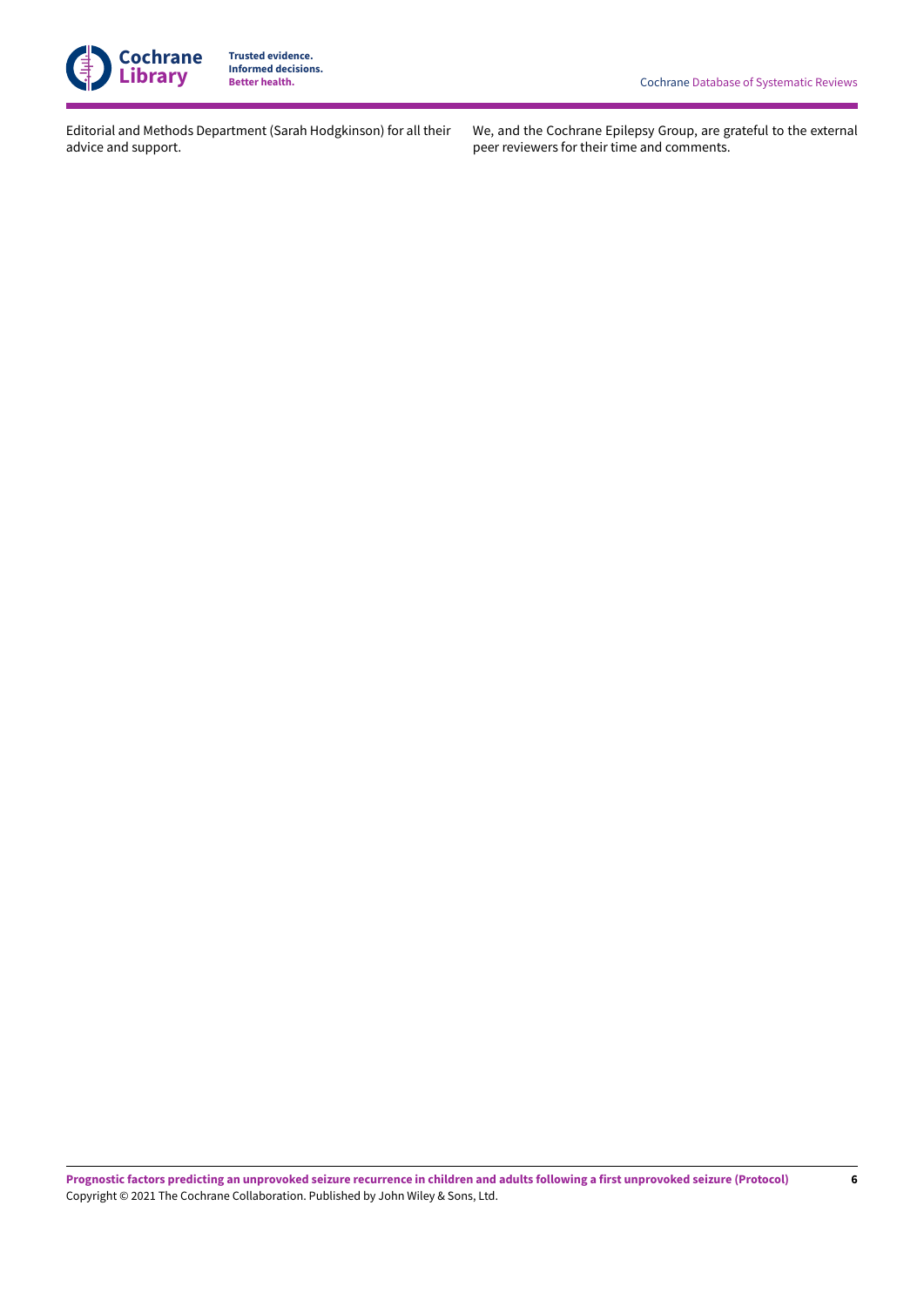

Editorial and Methods Department (Sarah Hodgkinson) for all their advice and support.

We, and the Cochrane Epilepsy Group, are grateful to the external peer reviewers for their time and comments.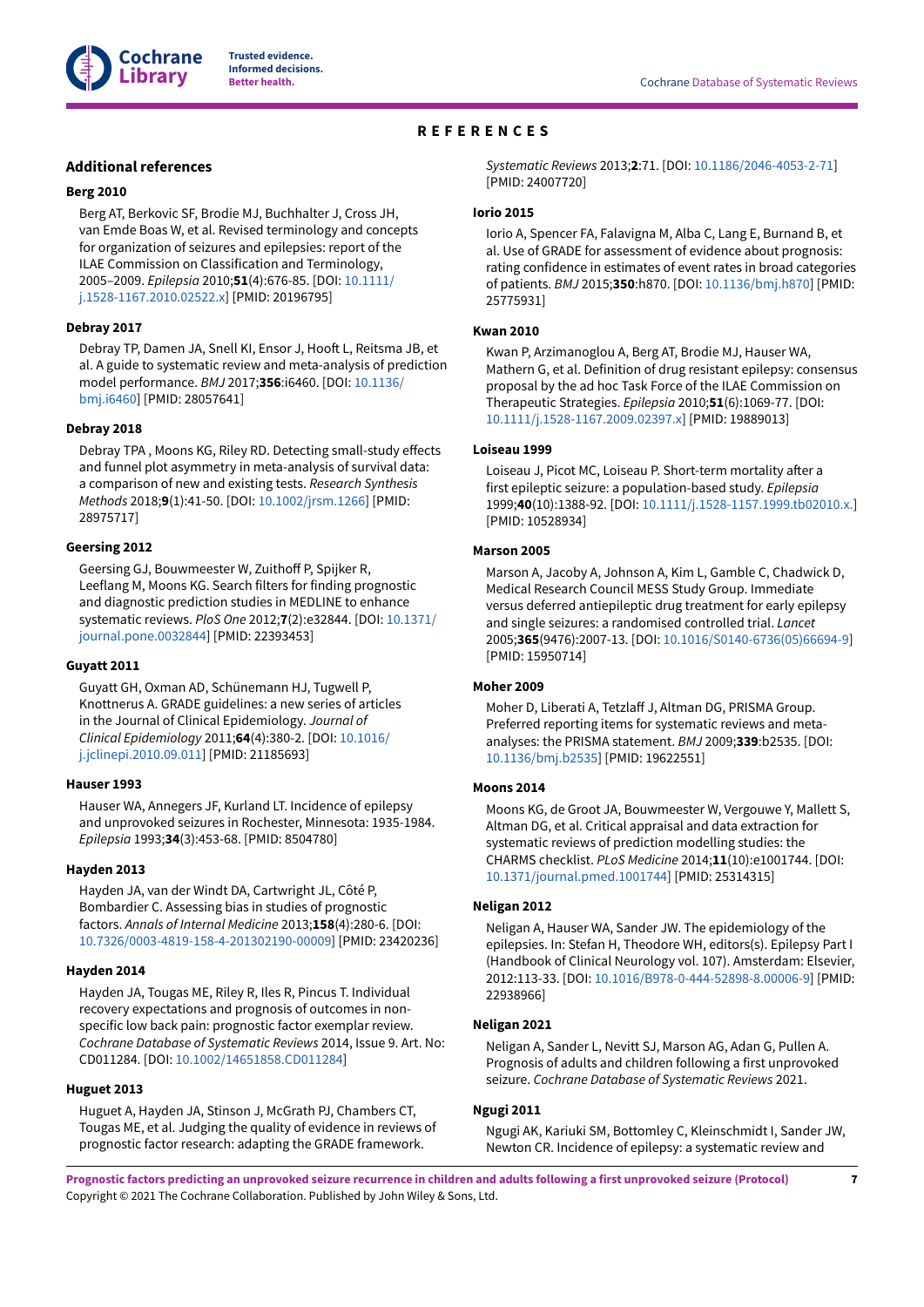

# **REFERENCES**

## <span id="page-8-0"></span>**Additional references**

#### <span id="page-8-17"></span>**Berg 2010**

Berg AT, Berkovic SF, Brodie MJ, Buchhalter J, Cross JH, van Emde Boas W, et al. Revised terminology and concepts for organization of seizures and epilepsies: report of the ILAE Commission on Classification and Terminology, 2005–2009. *Epilepsia* 2010;**51**(4):676-85. [DOI: [10.1111/](https://doi.org/10.1111%2Fj.1528-1167.2010.02522.x) [j.1528-1167.2010.02522.x](https://doi.org/10.1111%2Fj.1528-1167.2010.02522.x)] [PMID: 20196795]

#### <span id="page-8-13"></span>**Debray 2017**

Debray TP, Damen JA, Snell KI, Ensor J, Hooft L, Reitsma JB, et al. A guide to systematic review and meta-analysis of prediction model performance. *BMJ* 2017;**356**:i6460. [DOI: [10.1136/](https://doi.org/10.1136%2Fbmj.i6460) [bmj.i6460](https://doi.org/10.1136%2Fbmj.i6460)] [PMID: 28057641]

#### <span id="page-8-12"></span>**Debray 2018**

Debray TPA, Moons KG, Riley RD. Detecting small-study effects and funnel plot asymmetry in meta-analysis of survival data: a comparison of new and existing tests. *Research Synthesis Methods* 2018;**9**(1):41-50. [DOI: [10.1002/jrsm.1266](https://doi.org/10.1002%2Fjrsm.1266)] [PMID: 28975717]

### <span id="page-8-18"></span>**Geersing 2012**

Geersing GJ, Bouwmeester W, Zuithoff P, Spijker R, Leeflang M, Moons KG. Search filters for finding prognostic and diagnostic prediction studies in MEDLINE to enhance systematic reviews. *PloS One* 2012;**7**(2):e32844. [DOI: [10.1371/](https://doi.org/10.1371%2Fjournal.pone.0032844) [journal.pone.0032844\]](https://doi.org/10.1371%2Fjournal.pone.0032844) [PMID: 22393453]

#### <span id="page-8-14"></span>**Guyatt 2011**

Guyatt GH, Oxman AD, Schünemann HJ, Tugwell P, Knottnerus A. GRADE guidelines: a new series of articles in the Journal of Clinical Epidemiology. *Journal of Clinical Epidemiology* 2011;**64**(4):380-2. [DOI: [10.1016/](https://doi.org/10.1016%2Fj.jclinepi.2010.09.011) [j.jclinepi.2010.09.011](https://doi.org/10.1016%2Fj.jclinepi.2010.09.011)] [PMID: 21185693]

#### <span id="page-8-5"></span>**Hauser 1993**

Hauser WA, Annegers JF, Kurland LT. Incidence of epilepsy and unprovoked seizures in Rochester, Minnesota: 1935-1984. *Epilepsia* 1993;**34**(3):453-68. [PMID: 8504780]

#### <span id="page-8-11"></span>**Hayden 2013**

Hayden JA, van der Windt DA, Cartwright JL, Côté P, Bombardier C. Assessing bias in studies of prognostic factors. *Annals of Internal Medicine* 2013;**158**(4):280-6. [DOI: [10.7326/0003-4819-158-4-201302190-00009\]](https://doi.org/10.7326%2F0003-4819-158-4-201302190-00009) [PMID: 23420236]

#### <span id="page-8-7"></span>**Hayden 2014**

Hayden JA, Tougas ME, Riley R, Iles R, Pincus T. Individual recovery expectations and prognosis of outcomes in nonspecific low back pain: prognostic factor exemplar review. *Cochrane Database of Systematic Reviews* 2014, Issue 9. Art. No: CD011284. [DOI: [10.1002/14651858.CD011284\]](https://doi.org/10.1002%2F14651858.CD011284)

#### <span id="page-8-15"></span>**Huguet 2013**

Huguet A, Hayden JA, Stinson J, McGrath PJ, Chambers CT, Tougas ME, et al. Judging the quality of evidence in reviews of prognostic factor research: adapting the GRADE framework.

*Systematic Reviews* 2013;**2**:71. [DOI: [10.1186/2046-4053-2-71](https://doi.org/10.1186%2F2046-4053-2-71)] [PMID: 24007720]

#### <span id="page-8-16"></span>**Iorio 2015**

Iorio A, Spencer FA, Falavigna M, Alba C, Lang E, Burnand B, et al. Use of GRADE for assessment of evidence about prognosis: rating confidence in estimates of event rates in broad categories of patients. *BMJ* 2015;**350**:h870. [DOI: [10.1136/bmj.h870\]](https://doi.org/10.1136%2Fbmj.h870) [PMID: 25775931]

## <span id="page-8-8"></span>**Kwan 2010**

Kwan P, Arzimanoglou A, Berg AT, Brodie MJ, Hauser WA, Mathern G, et al. Definition of drug resistant epilepsy: consensus proposal by the ad hoc Task Force of the ILAE Commission on Therapeutic Strategies. *Epilepsia* 2010;**51**(6):1069-77. [DOI: [10.1111/j.1528-1167.2009.02397.x](https://doi.org/10.1111%2Fj.1528-1167.2009.02397.x)] [PMID: 19889013]

#### <span id="page-8-3"></span>**Loiseau 1999**

Loiseau J, Picot MC, Loiseau P. Short-term mortality after a first epileptic seizure: a population-based study. *Epilepsia* 1999;**40**(10):1388-92. [DOI: [10.1111/j.1528-1157.1999.tb02010.x.\]](https://doi.org/10.1111%2Fj.1528-1157.1999.tb02010.x.) [PMID: 10528934]

#### <span id="page-8-4"></span>**Marson 2005**

Marson A, Jacoby A, Johnson A, Kim L, Gamble C, Chadwick D, Medical Research Council MESS Study Group. Immediate versus deferred antiepileptic drug treatment for early epilepsy and single seizures: a randomised controlled trial. *Lancet* 2005;**365**(9476):2007-13. [DOI: [10.1016/S0140-6736\(05\)66694-9](https://doi.org/10.1016%2FS0140-6736%2805%2966694-9)] [PMID: 15950714]

#### <span id="page-8-6"></span>**Moher 2009**

Moher D, Liberati A, Tetzlaff J, Altman DG, PRISMA Group. Preferred reporting items for systematic reviews and metaanalyses: the PRISMA statement. *BMJ* 2009;**339**:b2535. [DOI: [10.1136/bmj.b2535](https://doi.org/10.1136%2Fbmj.b2535)] [PMID: 19622551]

#### <span id="page-8-10"></span>**Moons 2014**

Moons KG, de Groot JA, Bouwmeester W, Vergouwe Y, Mallett S, Altman DG, et al. Critical appraisal and data extraction for systematic reviews of prediction modelling studies: the CHARMS checklist. *PLoS Medicine* 2014;**11**(10):e1001744. [DOI: [10.1371/journal.pmed.1001744](https://doi.org/10.1371%2Fjournal.pmed.1001744)] [PMID: 25314315]

## <span id="page-8-1"></span>**Neligan 2012**

Neligan A, Hauser WA, Sander JW. The epidemiology of the epilepsies. In: Stefan H, Theodore WH, editors(s). Epilepsy Part I (Handbook of Clinical Neurology vol. 107). Amsterdam: Elsevier, 2012:113-33. [DOI: [10.1016/B978-0-444-52898-8.00006-9\]](https://doi.org/10.1016%2FB978-0-444-52898-8.00006-9) [PMID: 22938966]

#### <span id="page-8-9"></span>**Neligan 2021**

Neligan A, Sander L, Nevitt SJ, Marson AG, Adan G, Pullen A. Prognosis of adults and children following a first unprovoked seizure. *Cochrane Database of Systematic Reviews* 2021.

#### <span id="page-8-2"></span>**Ngugi 2011**

Ngugi AK, Kariuki SM, Bottomley C, Kleinschmidt I, Sander JW, Newton CR. Incidence of epilepsy: a systematic review and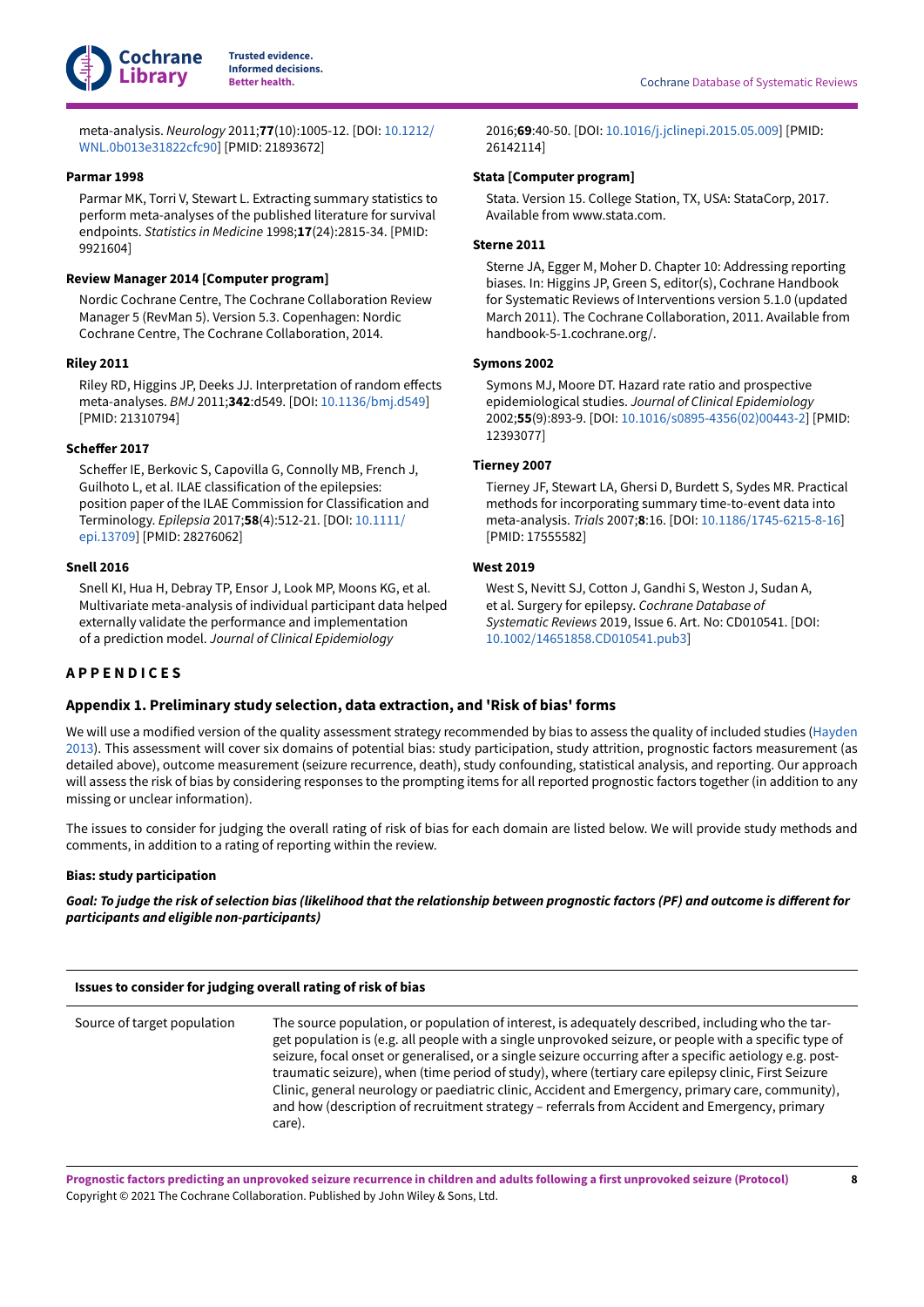

meta-analysis. *Neurology* 2011;**77**(10):1005-12. [DOI: [10.1212/](https://doi.org/10.1212%2FWNL.0b013e31822cfc90) [WNL.0b013e31822cfc90\]](https://doi.org/10.1212%2FWNL.0b013e31822cfc90) [PMID: 21893672]

## <span id="page-9-5"></span>**Parmar 1998**

Parmar MK, Torri V, Stewart L. Extracting summary statistics to perform meta-analyses of the published literature for survival endpoints. *Statistics in Medicine* 1998;**17**(24):2815-34. [PMID: 9921604]

## <span id="page-9-9"></span>**Review Manager 2014 [Computer program]**

Nordic Cochrane Centre, The Cochrane Collaboration Review Manager 5 (RevMan 5). Version 5.3. Copenhagen: Nordic Cochrane Centre, The Cochrane Collaboration, 2014.

## <span id="page-9-10"></span>**Riley 2011**

Riley RD, Higgins JP, Deeks JJ. Interpretation of random effects meta-analyses. *BMJ* 2011;**342**:d549. [DOI: [10.1136/bmj.d549](https://doi.org/10.1136%2Fbmj.d549)] [PMID: 21310794]

## <span id="page-9-1"></span>**Scheffer 2017**

Scheffer IE, Berkovic S, Capovilla G, Connolly MB, French J, Guilhoto L, et al. ILAE classification of the epilepsies: position paper of the ILAE Commission for Classification and Terminology. *Epilepsia* 2017;**58**(4):512-21. [DOI: [10.1111/](https://doi.org/10.1111%2Fepi.13709) [epi.13709](https://doi.org/10.1111%2Fepi.13709)] [PMID: 28276062]

## <span id="page-9-7"></span>**Snell 2016**

Snell KI, Hua H, Debray TP, Ensor J, Look MP, Moons KG, et al. Multivariate meta-analysis of individual participant data helped externally validate the performance and implementation of a prediction model. *Journal of Clinical Epidemiology*

2016;**69**:40-50. [DOI: [10.1016/j.jclinepi.2015.05.009\]](https://doi.org/10.1016%2Fj.jclinepi.2015.05.009) [PMID: 26142114]

### <span id="page-9-11"></span>**Stata [Computer program]**

Stata. Version 15. College Station, TX, USA: StataCorp, 2017. Available from www.stata.com.

### <span id="page-9-8"></span>**Sterne 2011**

Sterne JA, Egger M, Moher D. Chapter 10: Addressing reporting biases. In: Higgins JP, Green S, editor(s), Cochrane Handbook for Systematic Reviews of Interventions version 5.1.0 (updated March 2011). The Cochrane Collaboration, 2011. Available from handbook-5-1.cochrane.org/.

### <span id="page-9-4"></span>**Symons 2002**

Symons MJ, Moore DT. Hazard rate ratio and prospective epidemiological studies. *Journal of Clinical Epidemiology* 2002;**55**(9):893-9. [DOI: [10.1016/s0895-4356\(02\)00443-2](https://doi.org/10.1016%2Fs0895-4356%2802%2900443-2)] [PMID: 12393077]

## <span id="page-9-6"></span>**Tierney 2007**

Tierney JF, Stewart LA, Ghersi D, Burdett S, Sydes MR. Practical methods for incorporating summary time-to-event data into meta-analysis. *Trials* 2007;**8**:16. [DOI: [10.1186/1745-6215-8-16\]](https://doi.org/10.1186%2F1745-6215-8-16) [PMID: 17555582]

## <span id="page-9-2"></span>**West 2019**

West S, Nevitt SJ, Cotton J, Gandhi S, Weston J, Sudan A, et al. Surgery for epilepsy. *Cochrane Database of Systematic Reviews* 2019, Issue 6. Art. No: CD010541. [DOI: [10.1002/14651858.CD010541.pub3\]](https://doi.org/10.1002%2F14651858.CD010541.pub3)

# <span id="page-9-0"></span>**A P P E N D I C E S**

## <span id="page-9-3"></span>**Appendix 1. Preliminary study selection, data extraction, and 'Risk of bias' forms**

We will use a modified version of the quality assessment strategy recommended by bias to assess the quality of included studies ([Hayden](#page-8-11) [2013](#page-8-11)). This assessment will cover six domains of potential bias: study participation, study attrition, prognostic factors measurement (as detailed above), outcome measurement (seizure recurrence, death), study confounding, statistical analysis, and reporting. Our approach will assess the risk of bias by considering responses to the prompting items for all reported prognostic factors together (in addition to any missing or unclear information).

The issues to consider for judging the overall rating of risk of bias for each domain are listed below. We will provide study methods and comments, in addition to a rating of reporting within the review.

## **Bias: study participation**

Goal: To judge the risk of selection bias (likelihood that the relationship between prognostic factors (PF) and outcome is different for *participants and eligible non-participants)*

Source of target population The source population, or population of interest, is adequately described, including who the target population is (e.g. all people with a single unprovoked seizure, or people with a specific type of seizure, focal onset or generalised, or a single seizure occurring after a specific aetiology e.g. posttraumatic seizure), when (time period of study), where (tertiary care epilepsy clinic, First Seizure Clinic, general neurology or paediatric clinic, Accident and Emergency, primary care, community), and how (description of recruitment strategy – referrals from Accident and Emergency, primary care).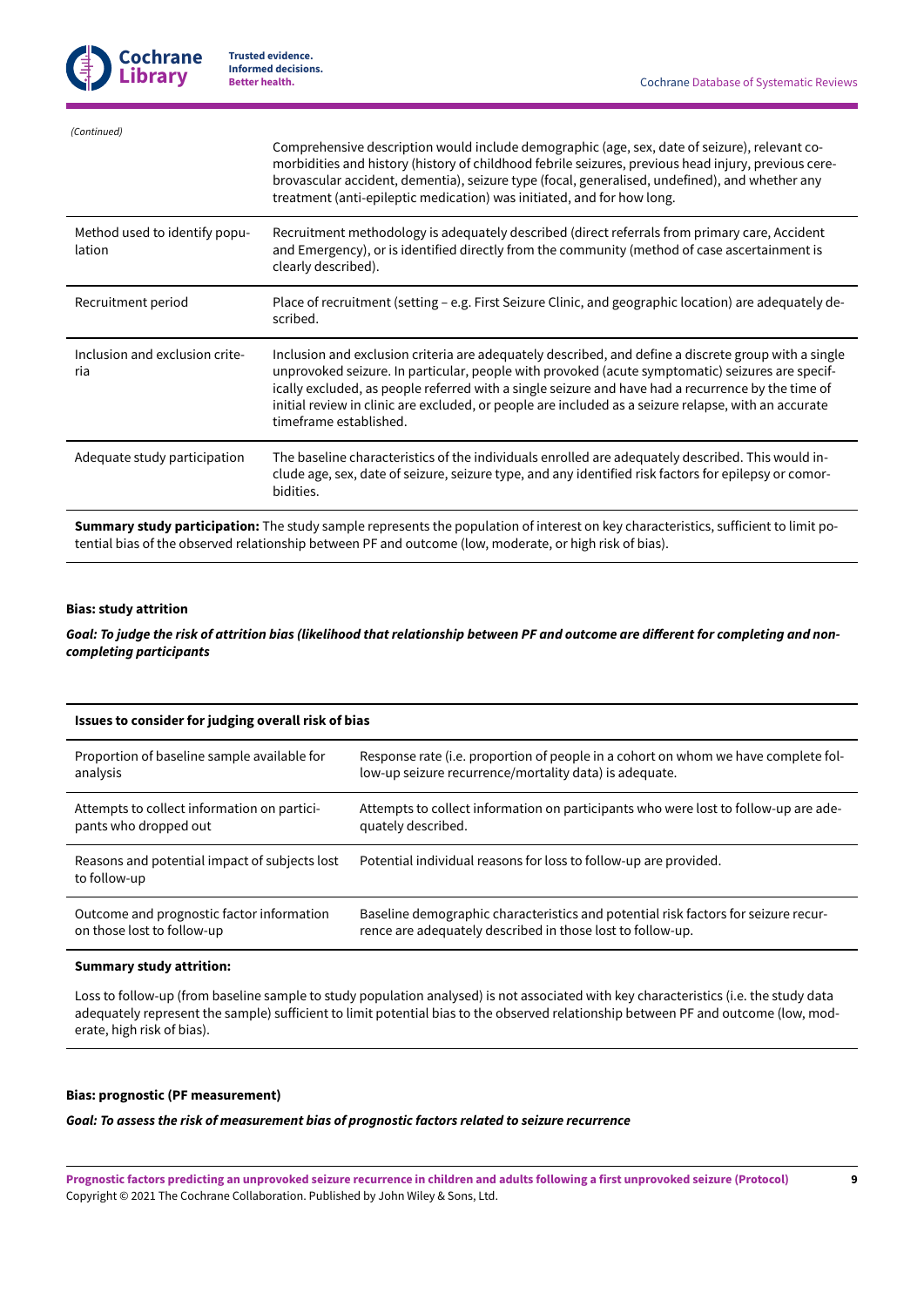| (Continued)                             |                                                                                                                                                                                                                                                                                                                                                                                                                                                  |
|-----------------------------------------|--------------------------------------------------------------------------------------------------------------------------------------------------------------------------------------------------------------------------------------------------------------------------------------------------------------------------------------------------------------------------------------------------------------------------------------------------|
|                                         | Comprehensive description would include demographic (age, sex, date of seizure), relevant co-<br>morbidities and history (history of childhood febrile seizures, previous head injury, previous cere-<br>brovascular accident, dementia), seizure type (focal, generalised, undefined), and whether any<br>treatment (anti-epileptic medication) was initiated, and for how long.                                                                |
| Method used to identify popu-<br>lation | Recruitment methodology is adequately described (direct referrals from primary care, Accident<br>and Emergency), or is identified directly from the community (method of case ascertainment is<br>clearly described).                                                                                                                                                                                                                            |
| Recruitment period                      | Place of recruitment (setting – e.g. First Seizure Clinic, and geographic location) are adequately de-<br>scribed.                                                                                                                                                                                                                                                                                                                               |
| Inclusion and exclusion crite-<br>ria   | Inclusion and exclusion criteria are adequately described, and define a discrete group with a single<br>unprovoked seizure. In particular, people with provoked (acute symptomatic) seizures are specif-<br>ically excluded, as people referred with a single seizure and have had a recurrence by the time of<br>initial review in clinic are excluded, or people are included as a seizure relapse, with an accurate<br>timeframe established. |
| Adequate study participation            | The baseline characteristics of the individuals enrolled are adequately described. This would in-<br>clude age, sex, date of seizure, seizure type, and any identified risk factors for epilepsy or comor-<br>bidities.                                                                                                                                                                                                                          |
|                                         |                                                                                                                                                                                                                                                                                                                                                                                                                                                  |

**Summary study participation:** The study sample represents the population of interest on key characteristics, sufficient to limit potential bias of the observed relationship between PF and outcome (low, moderate, or high risk of bias).

### **Bias: study attrition**

Goal: To judge the risk of attrition bias (likelihood that relationship between PF and outcome are different for completing and non*completing participants*

| Issues to consider for judging overall risk of bias           |                                                                                     |  |
|---------------------------------------------------------------|-------------------------------------------------------------------------------------|--|
| Proportion of baseline sample available for                   | Response rate (i.e. proportion of people in a cohort on whom we have complete fol-  |  |
| analysis                                                      | low-up seizure recurrence/mortality data) is adequate.                              |  |
| Attempts to collect information on partici-                   | Attempts to collect information on participants who were lost to follow-up are ade- |  |
| pants who dropped out                                         | quately described.                                                                  |  |
| Reasons and potential impact of subjects lost<br>to follow-up | Potential individual reasons for loss to follow-up are provided.                    |  |
| Outcome and prognostic factor information                     | Baseline demographic characteristics and potential risk factors for seizure recur-  |  |
| on those lost to follow-up                                    | rence are adequately described in those lost to follow-up.                          |  |

#### **Summary study attrition:**

Loss to follow-up (from baseline sample to study population analysed) is not associated with key characteristics (i.e. the study data adequately represent the sample) sufficient to limit potential bias to the observed relationship between PF and outcome (low, moderate, high risk of bias).

# **Bias: prognostic (PF measurement)**

*Goal: To assess the risk of measurement bias of prognostic factors related to seizure recurrence*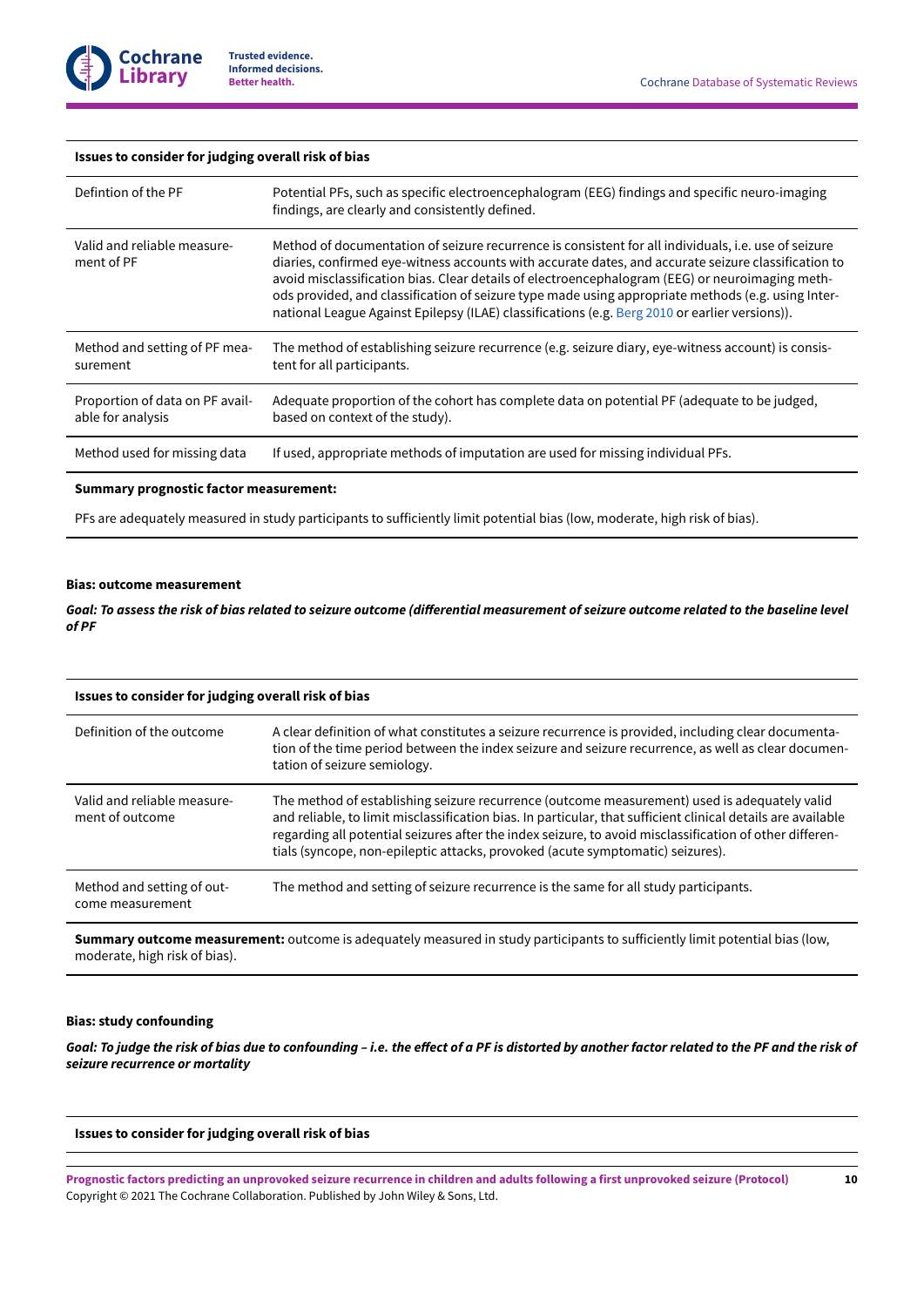

#### **Issues to consider for judging overall risk of bias**

| Defintion of the PF                                  | Potential PFs, such as specific electroencephalogram (EEG) findings and specific neuro-imaging<br>findings, are clearly and consistently defined.                                                                                                                                                                                                                                                                                                                                                                      |
|------------------------------------------------------|------------------------------------------------------------------------------------------------------------------------------------------------------------------------------------------------------------------------------------------------------------------------------------------------------------------------------------------------------------------------------------------------------------------------------------------------------------------------------------------------------------------------|
| Valid and reliable measure-<br>ment of PF            | Method of documentation of seizure recurrence is consistent for all individuals, i.e. use of seizure<br>diaries, confirmed eye-witness accounts with accurate dates, and accurate seizure classification to<br>avoid misclassification bias. Clear details of electroencephalogram (EEG) or neuroimaging meth-<br>ods provided, and classification of seizure type made using appropriate methods (e.g. using Inter-<br>national League Against Epilepsy (ILAE) classifications (e.g. Berg 2010 or earlier versions)). |
| Method and setting of PF mea-<br>surement            | The method of establishing seizure recurrence (e.g. seizure diary, eye-witness account) is consis-<br>tent for all participants.                                                                                                                                                                                                                                                                                                                                                                                       |
| Proportion of data on PF avail-<br>able for analysis | Adequate proportion of the cohort has complete data on potential PF (adequate to be judged,<br>based on context of the study).                                                                                                                                                                                                                                                                                                                                                                                         |
| Method used for missing data                         | If used, appropriate methods of imputation are used for missing individual PFs.                                                                                                                                                                                                                                                                                                                                                                                                                                        |

#### **Summary prognostic factor measurement:**

PFs are adequately measured in study participants to sufficiently limit potential bias (low, moderate, high risk of bias).

# **Bias: outcome measurement**

Goal: To assess the risk of bias related to seizure outcome (differential measurement of seizure outcome related to the baseline level *of PF*

| Issues to consider for judging overall risk of bias |                                                                                                                                                                                                                                                                                                                                                                                                           |  |
|-----------------------------------------------------|-----------------------------------------------------------------------------------------------------------------------------------------------------------------------------------------------------------------------------------------------------------------------------------------------------------------------------------------------------------------------------------------------------------|--|
| Definition of the outcome                           | A clear definition of what constitutes a seizure recurrence is provided, including clear documenta-<br>tion of the time period between the index seizure and seizure recurrence, as well as clear documen-<br>tation of seizure semiology.                                                                                                                                                                |  |
| Valid and reliable measure-<br>ment of outcome      | The method of establishing seizure recurrence (outcome measurement) used is adequately valid<br>and reliable, to limit misclassification bias. In particular, that sufficient clinical details are available<br>regarding all potential seizures after the index seizure, to avoid misclassification of other differen-<br>tials (syncope, non-epileptic attacks, provoked (acute symptomatic) seizures). |  |
| Method and setting of out-<br>come measurement      | The method and setting of seizure recurrence is the same for all study participants.                                                                                                                                                                                                                                                                                                                      |  |
|                                                     |                                                                                                                                                                                                                                                                                                                                                                                                           |  |

**Summary outcome measurement:** outcome is adequately measured in study participants to sufficiently limit potential bias (low, moderate, high risk of bias).

#### **Bias: study confounding**

Goal: To judge the risk of bias due to confounding - i.e. the effect of a PF is distorted by another factor related to the PF and the risk of *seizure recurrence or mortality*

## **Issues to consider for judging overall risk of bias**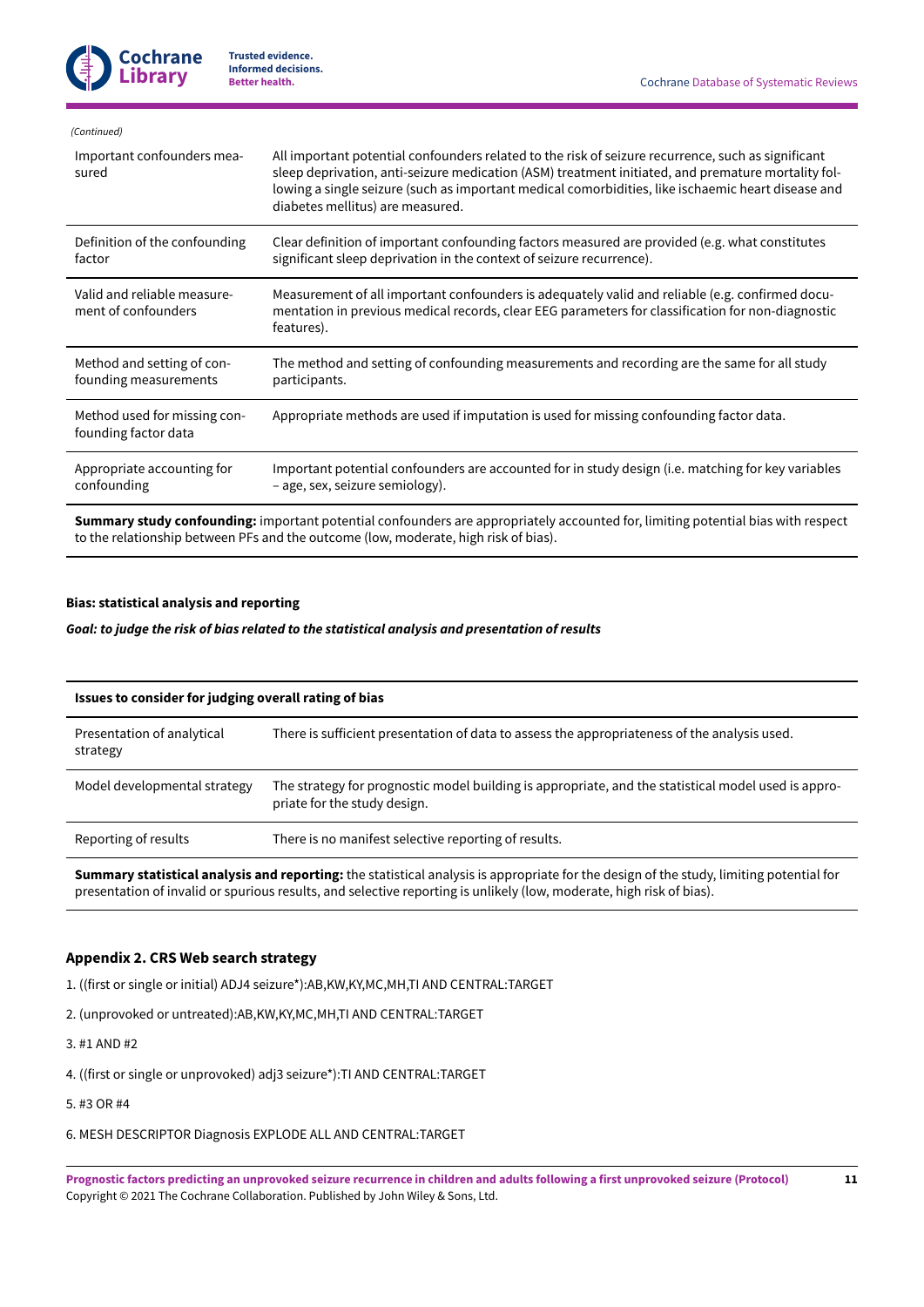| All important potential confounders related to the risk of seizure recurrence, such as significant<br>sleep deprivation, anti-seizure medication (ASM) treatment initiated, and premature mortality fol-<br>lowing a single seizure (such as important medical comorbidities, like ischaemic heart disease and<br>diabetes mellitus) are measured. |
|----------------------------------------------------------------------------------------------------------------------------------------------------------------------------------------------------------------------------------------------------------------------------------------------------------------------------------------------------|
| Clear definition of important confounding factors measured are provided (e.g. what constitutes<br>significant sleep deprivation in the context of seizure recurrence).                                                                                                                                                                             |
| Measurement of all important confounders is adequately valid and reliable (e.g. confirmed docu-<br>mentation in previous medical records, clear EEG parameters for classification for non-diagnostic<br>features).                                                                                                                                 |
| The method and setting of confounding measurements and recording are the same for all study<br>participants.                                                                                                                                                                                                                                       |
| Appropriate methods are used if imputation is used for missing confounding factor data.                                                                                                                                                                                                                                                            |
| Important potential confounders are accounted for in study design (i.e. matching for key variables<br>- age, sex, seizure semiology).                                                                                                                                                                                                              |
|                                                                                                                                                                                                                                                                                                                                                    |

**Summary study confounding:** important potential confounders are appropriately accounted for, limiting potential bias with respect to the relationship between PFs and the outcome (low, moderate, high risk of bias).

## **Bias: statistical analysis and reporting**

*Goal: to judge the risk of bias related to the statistical analysis and presentation of results*

| Issues to consider for judging overall rating of bias |                                                                                                                                     |  |
|-------------------------------------------------------|-------------------------------------------------------------------------------------------------------------------------------------|--|
| Presentation of analytical<br>strategy                | There is sufficient presentation of data to assess the appropriateness of the analysis used.                                        |  |
| Model developmental strategy                          | The strategy for prognostic model building is appropriate, and the statistical model used is appro-<br>priate for the study design. |  |
| Reporting of results                                  | There is no manifest selective reporting of results.                                                                                |  |

**Summary statistical analysis and reporting:** the statistical analysis is appropriate for the design of the study, limiting potential for presentation of invalid or spurious results, and selective reporting is unlikely (low, moderate, high risk of bias).

# <span id="page-12-0"></span>**Appendix 2. CRS Web search strategy**

1. ((first or single or initial) ADJ4 seizure\*):AB,KW,KY,MC,MH,TI AND CENTRAL:TARGET

2. (unprovoked or untreated):AB,KW,KY,MC,MH,TI AND CENTRAL:TARGET

3. #1 AND #2

4. ((first or single or unprovoked) adj3 seizure\*):TI AND CENTRAL:TARGET

5. #3 OR #4

6. MESH DESCRIPTOR Diagnosis EXPLODE ALL AND CENTRAL:TARGET

Prognostic factors predicting an unprovoked seizure recurrence in children and adults following a first unprovoked seizure (Protocol) Copyright © 2021 The Cochrane Collaboration. Published by John Wiley & Sons, Ltd.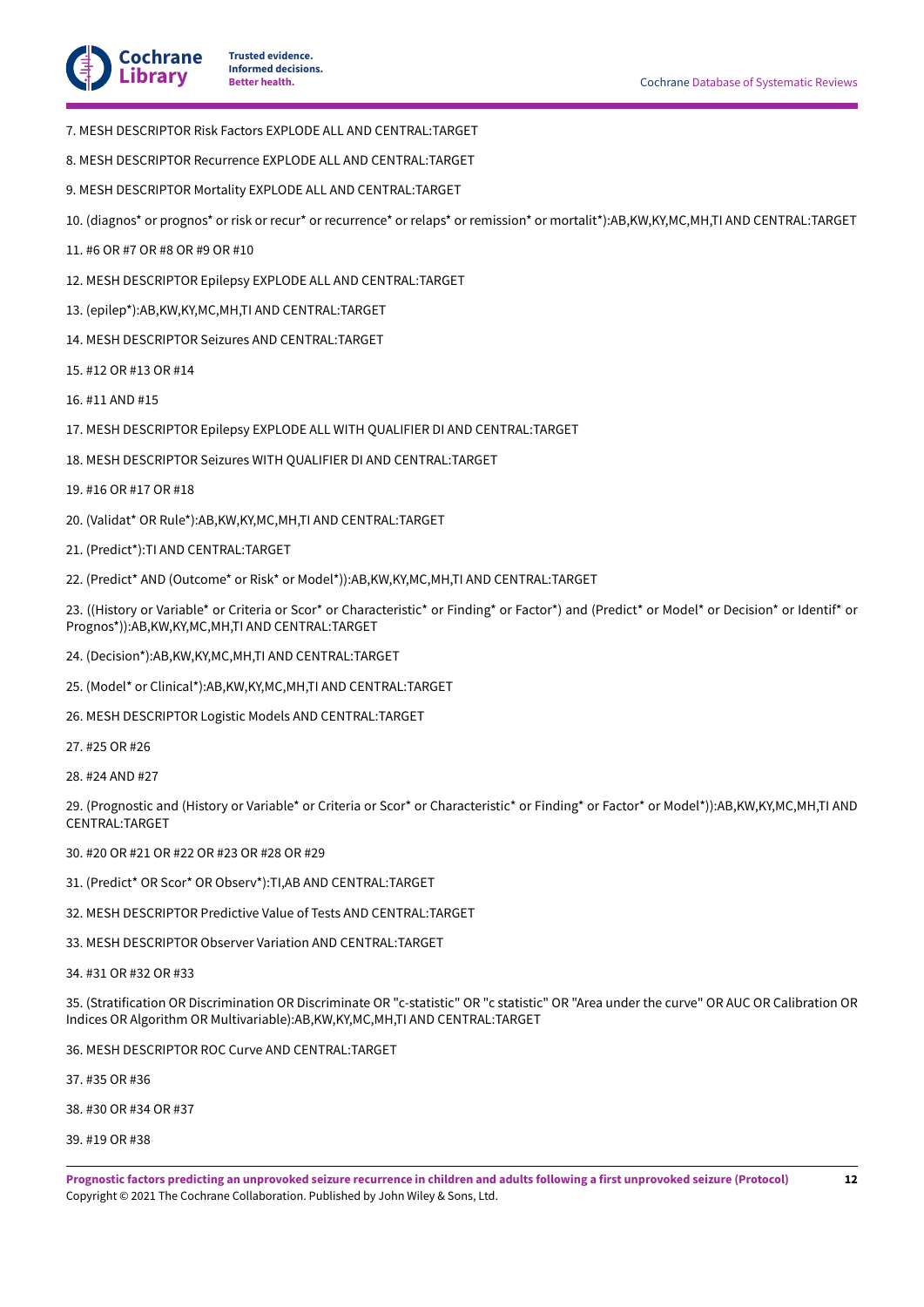

- 7. MESH DESCRIPTOR Risk Factors EXPLODE ALL AND CENTRAL:TARGET
- 8. MESH DESCRIPTOR Recurrence EXPLODE ALL AND CENTRAL:TARGET
- 9. MESH DESCRIPTOR Mortality EXPLODE ALL AND CENTRAL:TARGET
- 10. (diagnos\* or prognos\* or risk or recur\* or recurrence\* or relaps\* or remission\* or mortalit\*):AB,KW,KY,MC,MH,TI AND CENTRAL:TARGET
- 11. #6 OR #7 OR #8 OR #9 OR #10
- 12. MESH DESCRIPTOR Epilepsy EXPLODE ALL AND CENTRAL:TARGET
- 13. (epilep\*):AB,KW,KY,MC,MH,TI AND CENTRAL:TARGET
- 14. MESH DESCRIPTOR Seizures AND CENTRAL:TARGET
- 15. #12 OR #13 OR #14
- 16. #11 AND #15
- 17. MESH DESCRIPTOR Epilepsy EXPLODE ALL WITH QUALIFIER DI AND CENTRAL:TARGET
- 18. MESH DESCRIPTOR Seizures WITH QUALIFIER DI AND CENTRAL:TARGET
- 19. #16 OR #17 OR #18
- 20. (Validat\* OR Rule\*):AB,KW,KY,MC,MH,TI AND CENTRAL:TARGET
- 21. (Predict\*):TI AND CENTRAL:TARGET
- 22. (Predict\* AND (Outcome\* or Risk\* or Model\*)):AB,KW,KY,MC,MH,TI AND CENTRAL:TARGET

23. ((History or Variable\* or Criteria or Scor\* or Characteristic\* or Finding\* or Factor\*) and (Predict\* or Model\* or Decision\* or Identif\* or Prognos\*)):AB,KW,KY,MC,MH,TI AND CENTRAL:TARGET

- 24. (Decision\*):AB,KW,KY,MC,MH,TI AND CENTRAL:TARGET
- 25. (Model\* or Clinical\*):AB,KW,KY,MC,MH,TI AND CENTRAL:TARGET
- 26. MESH DESCRIPTOR Logistic Models AND CENTRAL:TARGET
- 27. #25 OR #26
- 28. #24 AND #27

29. (Prognostic and (History or Variable\* or Criteria or Scor\* or Characteristic\* or Finding\* or Factor\* or Model\*)):AB,KW,KY,MC,MH,TI AND CENTRAL:TARGET

30. #20 OR #21 OR #22 OR #23 OR #28 OR #29

- 31. (Predict\* OR Scor\* OR Observ\*):TI,AB AND CENTRAL:TARGET
- 32. MESH DESCRIPTOR Predictive Value of Tests AND CENTRAL:TARGET
- 33. MESH DESCRIPTOR Observer Variation AND CENTRAL:TARGET
- 34. #31 OR #32 OR #33

35. (Stratification OR Discrimination OR Discriminate OR "c-statistic" OR "c statistic" OR "Area under the curve" OR AUC OR Calibration OR Indices OR Algorithm OR Multivariable):AB,KW,KY,MC,MH,TI AND CENTRAL:TARGET

36. MESH DESCRIPTOR ROC Curve AND CENTRAL:TARGET

37. #35 OR #36

38. #30 OR #34 OR #37

39. #19 OR #38

Prognostic factors predicting an unprovoked seizure recurrence in children and adults following a first unprovoked seizure (Protocol) Copyright © 2021 The Cochrane Collaboration. Published by John Wiley & Sons, Ltd.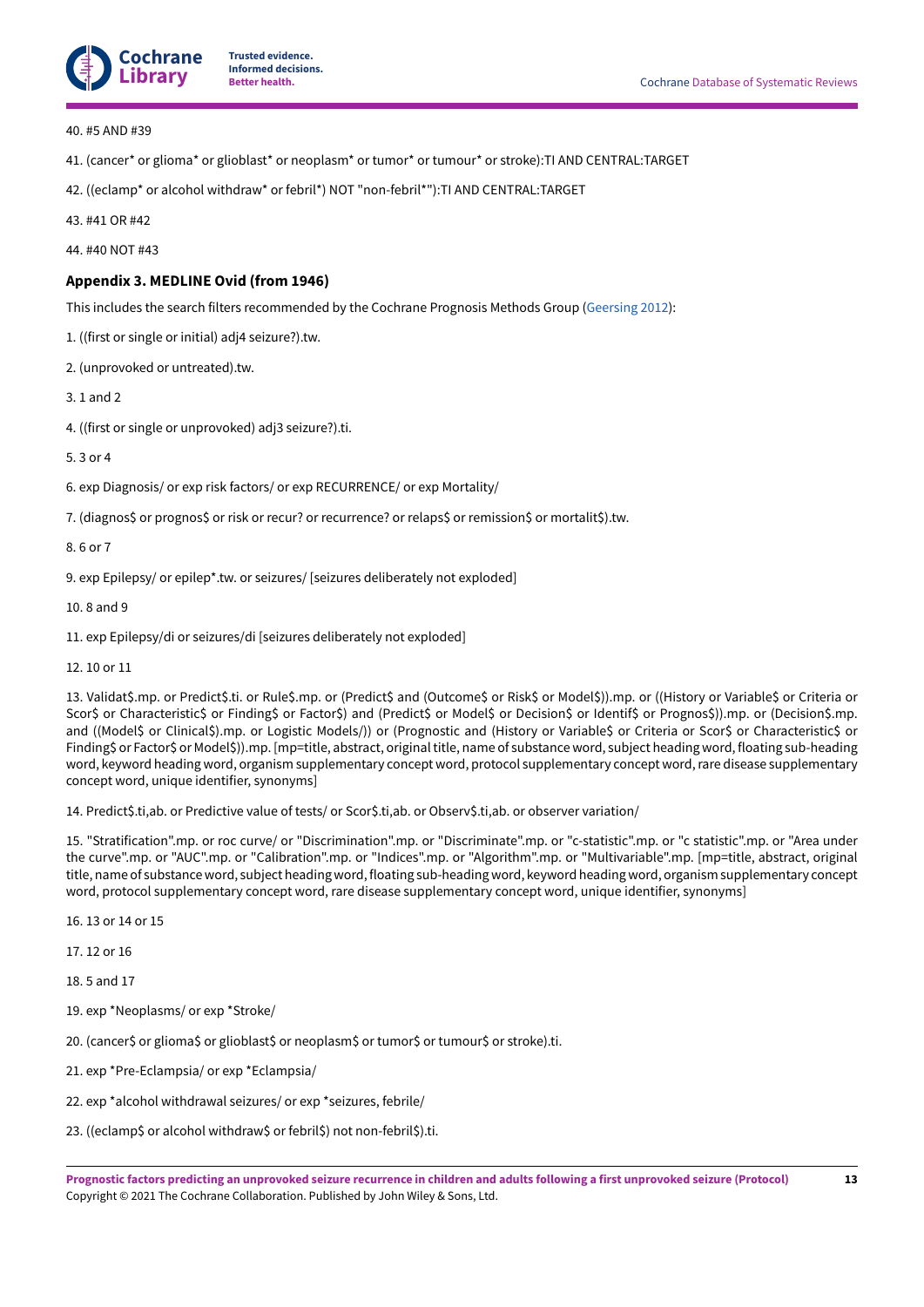

40. #5 AND #39

- 41. (cancer\* or glioma\* or glioblast\* or neoplasm\* or tumor\* or tumour\* or stroke):TI AND CENTRAL:TARGET
- 42. ((eclamp\* or alcohol withdraw\* or febril\*) NOT "non-febril\*"):TI AND CENTRAL:TARGET

43. #41 OR #42

44. #40 NOT #43

## <span id="page-14-0"></span>**Appendix 3. MEDLINE Ovid (from 1946)**

This includes the search filters recommended by the Cochrane Prognosis Methods Group [\(Geersing](#page-8-18) 2012):

1. ((first or single or initial) adj4 seizure?).tw.

2. (unprovoked or untreated).tw.

3. 1 and 2

4. ((first or single or unprovoked) adj3 seizure?).ti.

5. 3 or 4

6. exp Diagnosis/ or exp risk factors/ or exp RECURRENCE/ or exp Mortality/

7. (diagnos\$ or prognos\$ or risk or recur? or recurrence? or relaps\$ or remission\$ or mortalit\$).tw.

8. 6 or 7

9. exp Epilepsy/ or epilep\*.tw. or seizures/ [seizures deliberately not exploded]

10. 8 and 9

11. exp Epilepsy/di or seizures/di [seizures deliberately not exploded]

12. 10 or 11

13. Validat\$.mp. or Predict\$.ti. or Rule\$.mp. or (Predict\$ and (Outcome\$ or Risk\$ or Model\$)).mp. or ((History or Variable\$ or Criteria or Scor\$ or Characteristic\$ or Finding\$ or Factor\$) and (Predict\$ or Model\$ or Decision\$ or Identif\$ or Prognos\$)).mp. or (Decision\$.mp. and ((Model\$ or Clinical\$).mp. or Logistic Models/)) or (Prognostic and (History or Variable\$ or Criteria or Scor\$ or Characteristic\$ or Finding\$ or Factor\$ or Model\$)).mp. [mp=title, abstract, originaltitle, name of substance word, subject heading word, floating sub-heading word, keyword heading word, organism supplementary concept word, protocol supplementary concept word, rare disease supplementary concept word, unique identifier, synonyms]

14. Predict\$.ti,ab. or Predictive value of tests/ or Scor\$.ti,ab. or Observ\$.ti,ab. or observer variation/

15. "Stratification".mp. or roc curve/ or "Discrimination".mp. or "Discriminate".mp. or "c-statistic".mp. or "c statistic".mp. or "Area under the curve".mp. or "AUC".mp. or "Calibration".mp. or "Indices".mp. or "Algorithm".mp. or "Multivariable".mp. [mp=title, abstract, original title, name of substance word, subject heading word, floating sub-heading word, keyword heading word, organism supplementary concept word, protocol supplementary concept word, rare disease supplementary concept word, unique identifier, synonyms]

16. 13 or 14 or 15

17. 12 or 16

18. 5 and 17

19. exp \*Neoplasms/ or exp \*Stroke/

20. (cancer\$ or glioma\$ or glioblast\$ or neoplasm\$ or tumor\$ or tumour\$ or stroke).ti.

21. exp \*Pre-Eclampsia/ or exp \*Eclampsia/

22. exp \*alcohol withdrawal seizures/ or exp \*seizures, febrile/

23. ((eclamp\$ or alcohol withdraw\$ or febril\$) not non-febril\$).ti.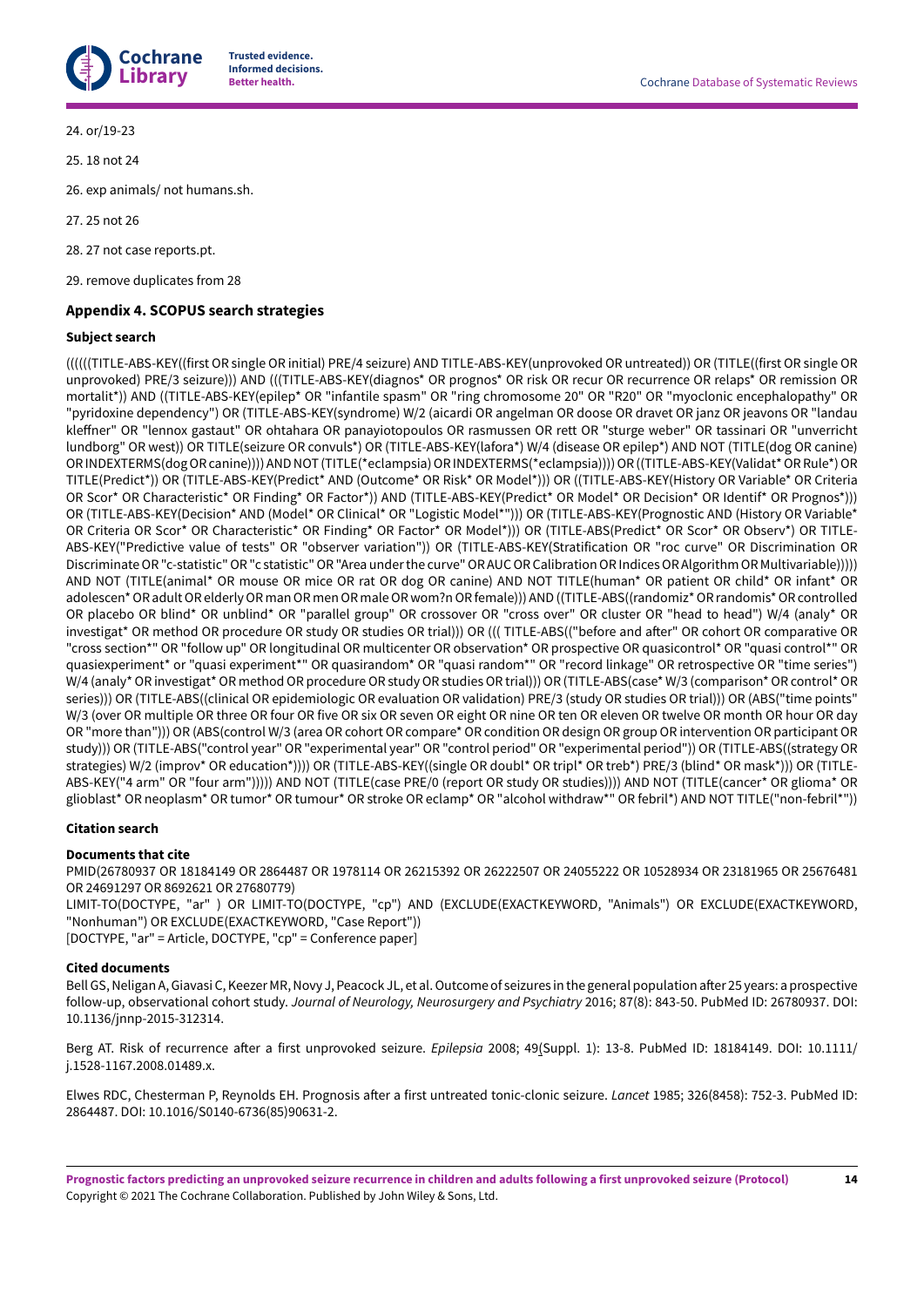

24. or/19-23

25. 18 not 24

26. exp animals/ not humans.sh.

27. 25 not 26

28. 27 not case reports.pt.

29. remove duplicates from 28

# <span id="page-15-0"></span>**Appendix 4.SCOPUSsearch strategies**

## **Subject search**

((((((TITLE-ABS-KEY((first OR single OR initial) PRE/4 seizure) AND TITLE-ABS-KEY(unprovoked OR untreated)) OR (TITLE((first OR single OR unprovoked) PRE/3 seizure))) AND (((TITLE-ABS-KEY(diagnos\* OR prognos\* OR risk OR recur OR recurrence OR relaps\* OR remission OR mortalit\*)) AND ((TITLE-ABS-KEY(epilep\* OR "infantile spasm" OR "ring chromosome 20" OR "R20" OR "myoclonic encephalopathy" OR "pyridoxine dependency") OR (TITLE-ABS-KEY(syndrome) W/2 (aicardi OR angelman OR doose OR dravet OR janz OR jeavons OR "landau kleffner" OR "lennox gastaut" OR ohtahara OR panayiotopoulos OR rasmussen OR rett OR "sturge weber" OR tassinari OR "unverricht lundborg" OR west)) OR TITLE(seizure OR convuls\*) OR (TITLE-ABS-KEY(lafora\*) W/4 (disease OR epilep\*) AND NOT (TITLE(dog OR canine) ORINDEXTERMS(dogORcanine))))ANDNOT (TITLE(\*eclampsia)ORINDEXTERMS(\*eclampsia))))OR((TITLE-ABS-KEY(Validat\*ORRule\*)OR TITLE(Predict\*)) OR (TITLE-ABS-KEY(Predict\* AND (Outcome\* OR Risk\* OR Model\*))) OR ((TITLE-ABS-KEY(History OR Variable\* OR Criteria OR Scor\* OR Characteristic\* OR Finding\* OR Factor\*)) AND (TITLE-ABS-KEY(Predict\* OR Model\* OR Decision\* OR Identif\* OR Prognos\*))) OR (TITLE-ABS-KEY(Decision\* AND (Model\* OR Clinical\* OR "Logistic Model\*"))) OR (TITLE-ABS-KEY(Prognostic AND (History OR Variable\* OR Criteria OR Scor\* OR Characteristic\* OR Finding\* OR Factor\* OR Model\*))) OR (TITLE-ABS(Predict\* OR Scor\* OR Observ\*) OR TITLE-ABS-KEY("Predictive value of tests" OR "observer variation")) OR (TITLE-ABS-KEY(Stratification OR "roc curve" OR Discrimination OR Discriminate OR "c-statistic" OR "c statistic" OR "Area under the curve" OR AUC OR Calibration OR Indices OR Algorithm OR Multivariable))))) AND NOT (TITLE(animal\* OR mouse OR mice OR rat OR dog OR canine) AND NOT TITLE(human\* OR patient OR child\* OR infant\* OR adolescen\*OR adultOR elderlyOR manOR menOR maleOR wom?nOR female))) AND((TITLE-ABS((randomiz\*OR randomis\*OR controlled OR placebo OR blind\* OR unblind\* OR "parallel group" OR crossover OR "cross over" OR cluster OR "head to head") W/4 (analy\* OR investigat\* OR method OR procedure OR study OR studies OR trial))) OR ((( TITLE-ABS(("before and aHer" OR cohort OR comparative OR "cross section\*" OR "follow up" OR longitudinal OR multicenter OR observation\* OR prospective OR quasicontrol\* OR "quasi control\*" OR quasiexperiment\* or "quasi experiment\*" OR quasirandom\* OR "quasi random\*" OR "record linkage" OR retrospective OR "time series") W/4 (analy\* OR investigat\* OR method OR procedure OR study OR studies OR trial))) OR (TITLE-ABS(case\* W/3 (comparison\* OR control\* OR series))) OR (TITLE-ABS((clinical OR epidemiologic OR evaluation OR validation) PRE/3 (study OR studies OR trial))) OR (ABS("time points" W/3 (over OR multiple OR three OR four OR five OR six OR seven OR eight OR nine OR ten OR eleven OR twelve OR month OR hour OR day OR "more than"))) OR (ABS(control W/3 (area OR cohort OR compare\* OR condition OR design OR group OR intervention OR participant OR study))) OR (TITLE-ABS("control year" OR "experimental year" OR "control period" OR "experimental period")) OR (TITLE-ABS((strategy OR strategies) W/2 (improv\* OR education\*)))) OR (TITLE-ABS-KEY((single OR doubl\* OR tripl\* OR treb\*) PRE/3 (blind\* OR mask\*))) OR (TITLE-ABS-KEY("4 arm" OR "four arm"))))) AND NOT (TITLE(case PRE/0 (report OR study OR studies)))) AND NOT (TITLE(cancer\* OR glioma\* OR glioblast\* OR neoplasm\* OR tumor\* OR tumour\* OR stroke OR eclamp\* OR "alcohol withdraw\*" OR febril\*) AND NOT TITLE("non-febril\*"))

# **Citation search**

# **Documents that cite**

PMID(26780937 OR 18184149 OR 2864487 OR 1978114 OR 26215392 OR 26222507 OR 24055222 OR 10528934 OR 23181965 OR 25676481 OR 24691297 OR 8692621 OR 27680779)

LIMIT-TO(DOCTYPE, "ar" ) OR LIMIT-TO(DOCTYPE, "cp") AND (EXCLUDE(EXACTKEYWORD, "Animals") OR EXCLUDE(EXACTKEYWORD, "Nonhuman") OR EXCLUDE(EXACTKEYWORD, "Case Report")) [DOCTYPE, "ar" = Article, DOCTYPE, "cp" = Conference paper]

## **Cited documents**

Bell GS, Neligan A, Giavasi C, Keezer MR, Novy J, Peacock JL, et al. Outcome of seizures in the general population after 25 years: a prospective follow-up, observational cohort study. *Journal of Neurology, Neurosurgery and Psychiatry* 2016; 87(8): 843-50. PubMed ID: 26780937. DOI: 10.1136/jnnp-2015-312314.

Berg AT. Risk of recurrence after a first unprovoked seizure. *Epilepsia* 2008; 49(Suppl. 1): 13-8. PubMed ID: 18184149. DOI: 10.1111/ j.1528-1167.2008.01489.x.

Elwes RDC, Chesterman P, Reynolds EH. Prognosis after a first untreated tonic-clonic seizure. *Lancet* 1985; 326(8458): 752-3. PubMed ID: 2864487. DOI: 10.1016/S0140-6736(85)90631-2.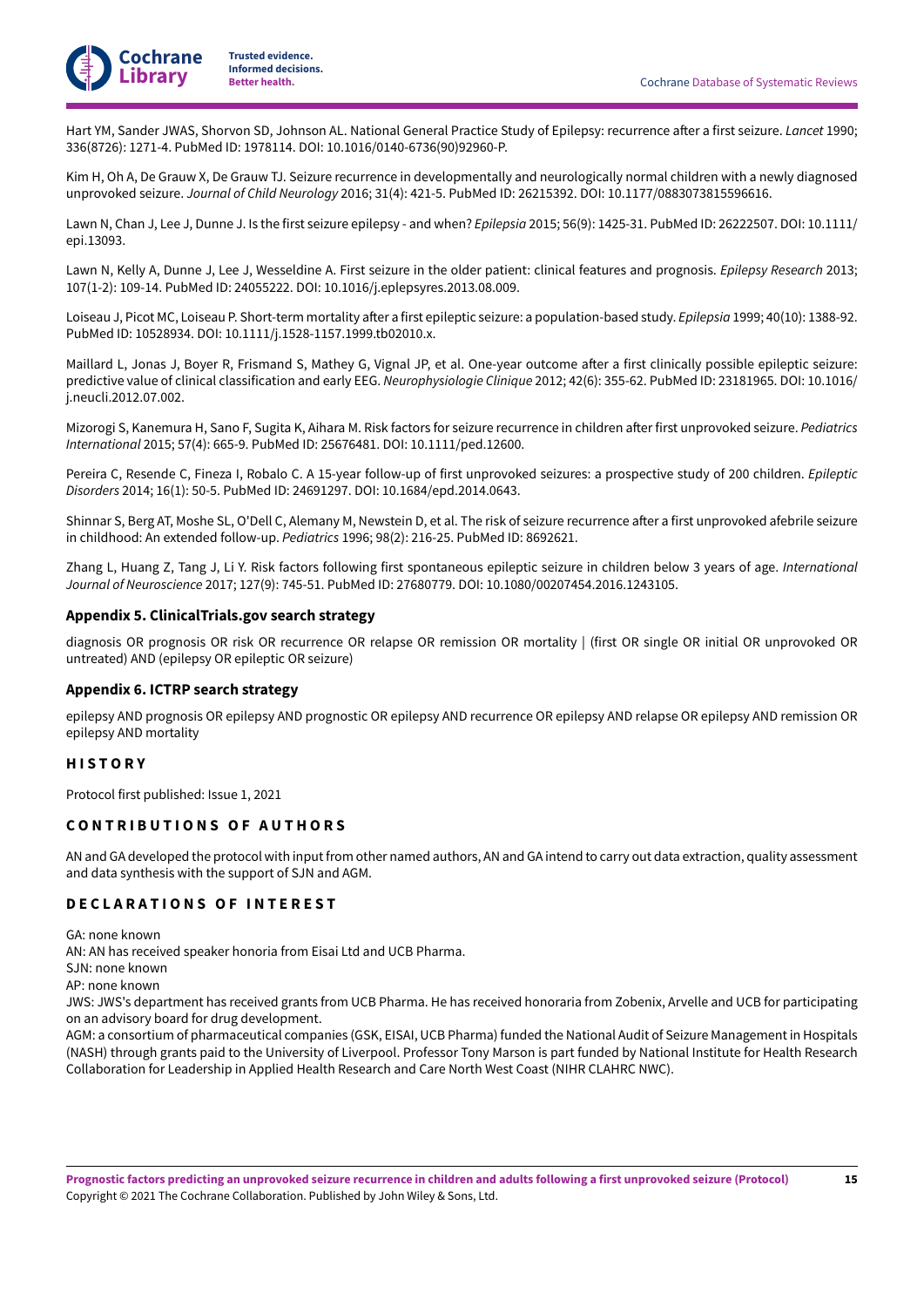

Hart YM, Sander JWAS, Shorvon SD, Johnson AL. National General Practice Study of Epilepsy: recurrence after a first seizure. *Lancet* 1990; 336(8726): 1271-4. PubMed ID: 1978114. DOI: 10.1016/0140-6736(90)92960-P.

Kim H, Oh A, De Grauw X, De Grauw TJ. Seizure recurrence in developmentally and neurologically normal children with a newly diagnosed unprovoked seizure. *Journal of Child Neurology* 2016; 31(4): 421-5. PubMed ID: 26215392. DOI: 10.1177/0883073815596616.

Lawn N, Chan J, Lee J, Dunne J. Is the first seizure epilepsy - and when? *Epilepsia* 2015; 56(9): 1425-31. PubMed ID: 26222507. DOI: 10.1111/ epi.13093.

Lawn N, Kelly A, Dunne J, Lee J, Wesseldine A. First seizure in the older patient: clinical features and prognosis. *Epilepsy Research* 2013; 107(1-2): 109-14. PubMed ID: 24055222. DOI: 10.1016/j.eplepsyres.2013.08.009.

Loiseau J, Picot MC, Loiseau P. Short-term mortality after a first epileptic seizure: a population-based study. *Epilepsia* 1999; 40(10): 1388-92. PubMed ID: 10528934. DOI: 10.1111/j.1528-1157.1999.tb02010.x.

Maillard L, Jonas J, Boyer R, Frismand S, Mathey G, Vignal JP, et al. One-year outcome after a first clinically possible epileptic seizure: predictive value of clinical classification and early EEG. *Neurophysiologie Clinique* 2012; 42(6): 355-62. PubMed ID: 23181965. DOI: 10.1016/ j.neucli.2012.07.002.

Mizorogi S, Kanemura H, Sano F, Sugita K, Aihara M. Risk factors for seizure recurrence in children aHer first unprovoked seizure. *Pediatrics International* 2015; 57(4): 665-9. PubMed ID: 25676481. DOI: 10.1111/ped.12600.

Pereira C, Resende C, Fineza I, Robalo C. A 15-year follow-up of first unprovoked seizures: a prospective study of 200 children. *Epileptic Disorders* 2014; 16(1): 50-5. PubMed ID: 24691297. DOI: 10.1684/epd.2014.0643.

Shinnar S, Berg AT, Moshe SL, O'Dell C, Alemany M, Newstein D, et al. The risk of seizure recurrence after a first unprovoked afebrile seizure in childhood: An extended follow-up. *Pediatrics* 1996; 98(2): 216-25. PubMed ID: 8692621.

Zhang L, Huang Z, Tang J, Li Y. Risk factors following first spontaneous epileptic seizure in children below 3 years of age. *International Journal of Neuroscience* 2017; 127(9): 745-51. PubMed ID: 27680779. DOI: 10.1080/00207454.2016.1243105.

## <span id="page-16-3"></span>**Appendix 5. ClinicalTrials.gov search strategy**

diagnosis OR prognosis OR risk OR recurrence OR relapse OR remission OR mortality | (first OR single OR initial OR unprovoked OR untreated) AND (epilepsy OR epileptic OR seizure)

## <span id="page-16-4"></span>**Appendix 6. ICTRP search strategy**

epilepsy AND prognosis OR epilepsy AND prognostic OR epilepsy AND recurrence OR epilepsy AND relapse OR epilepsy AND remission OR epilepsy AND mortality

## <span id="page-16-0"></span>**H I S T O R Y**

Protocol first published: Issue 1, 2021

## <span id="page-16-1"></span>**C O N T R I B U T I O N S O F A U T H O R S**

ANand GA developed the protocol with inputfrom other named authors, ANand GA intend to carry out data extraction, quality assessment and data synthesis with the support of SJN and AGM.

## <span id="page-16-2"></span>**D E C L A R A T I O N S O F I N T E R E S T**

GA: none known

AN: AN has received speaker honoria from Eisai Ltd and UCB Pharma.

SJN: none known

AP: none known

JWS: JWS's department has received grants from UCB Pharma. He has received honoraria from Zobenix, Arvelle and UCB for participating on an advisory board for drug development.

AGM: a consortium of pharmaceutical companies (GSK, EISAI, UCB Pharma) funded the National Audit of Seizure Managementin Hospitals (NASH) through grants paid to the University of Liverpool. Professor Tony Marson is part funded by National Institute for Health Research Collaboration for Leadership in Applied Health Research and Care North West Coast (NIHR CLAHRC NWC).